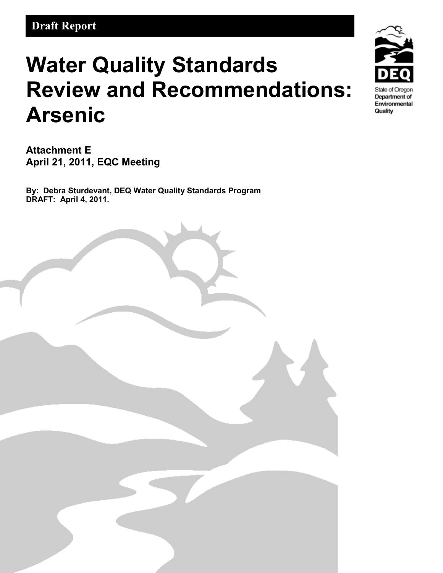# **Water Quality Standards Review and Recommendations: Arsenic**

**Attachment E April 21, 2011, EQC Meeting**

**By: Debra Sturdevant, DEQ Water Quality Standards Program DRAFT: April 4, 2011.** 



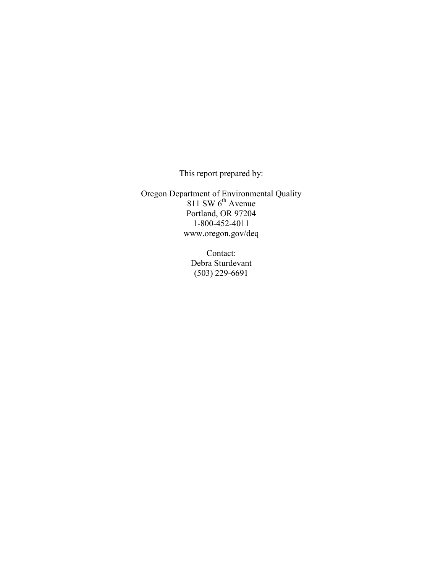This report prepared by:

Oregon Department of Environmental Quality 811 SW  $6^{th}$  Avenue Portland, OR 97204 1-800-452-4011 www.oregon.gov/deq

> Contact: Debra Sturdevant (503) 229-6691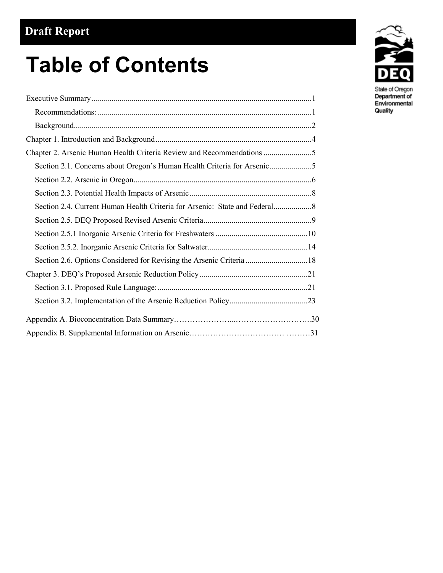# **Table of Contents**

| Section 2.6. Options Considered for Revising the Arsenic Criteria  18 |
|-----------------------------------------------------------------------|
|                                                                       |
|                                                                       |
|                                                                       |
|                                                                       |
|                                                                       |
|                                                                       |



Quality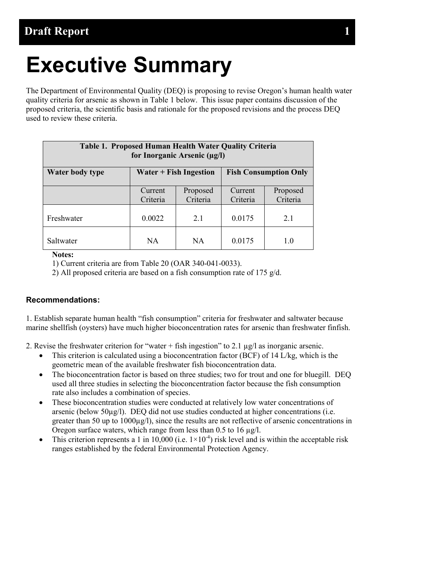# <span id="page-3-0"></span>**Executive Summary**

The Department of Environmental Quality (DEQ) is proposing to revise Oregon's human health water quality criteria for arsenic as shown in Table 1 below. This issue paper contains discussion of the proposed criteria, the scientific basis and rationale for the proposed revisions and the process DEQ used to review these criteria.

| Table 1. Proposed Human Health Water Quality Criteria<br>for Inorganic Arsenic (µg/l) |                     |                      |                     |                      |
|---------------------------------------------------------------------------------------|---------------------|----------------------|---------------------|----------------------|
| Water $+$ Fish Ingestion<br><b>Fish Consumption Only</b><br>Water body type           |                     |                      |                     |                      |
|                                                                                       | Current<br>Criteria | Proposed<br>Criteria | Current<br>Criteria | Proposed<br>Criteria |
| Freshwater                                                                            | 0.0022              | 21                   | 0.0175              | 2.1                  |
| Saltwater                                                                             | <b>NA</b>           | <b>NA</b>            | 0.0175              | 1.0                  |

#### **Notes:**

1) Current criteria are from Table 20 (OAR 340-041-0033).

2) All proposed criteria are based on a fish consumption rate of 175 g/d.

#### <span id="page-3-1"></span>**Recommendations:**

1. Establish separate human health "fish consumption" criteria for freshwater and saltwater because marine shellfish (oysters) have much higher bioconcentration rates for arsenic than freshwater finfish.

2. Revise the freshwater criterion for "water  $+$  fish ingestion" to 2.1  $\mu$ g/l as inorganic arsenic.

- This criterion is calculated using a bioconcentration factor (BCF) of 14 L/kg, which is the geometric mean of the available freshwater fish bioconcentration data.
- The bioconcentration factor is based on three studies; two for trout and one for bluegill. DEQ used all three studies in selecting the bioconcentration factor because the fish consumption rate also includes a combination of species.
- These bioconcentration studies were conducted at relatively low water concentrations of arsenic (below  $50\mu\text{g/l}$ ). DEQ did not use studies conducted at higher concentrations (i.e. greater than 50 up to 1000µg/l), since the results are not reflective of arsenic concentrations in Oregon surface waters, which range from less than 0.5 to 16 µg/l.
- This criterion represents a 1 in 10,000 (i.e.  $1 \times 10^{-4}$ ) risk level and is within the acceptable risk ranges established by the federal Environmental Protection Agency.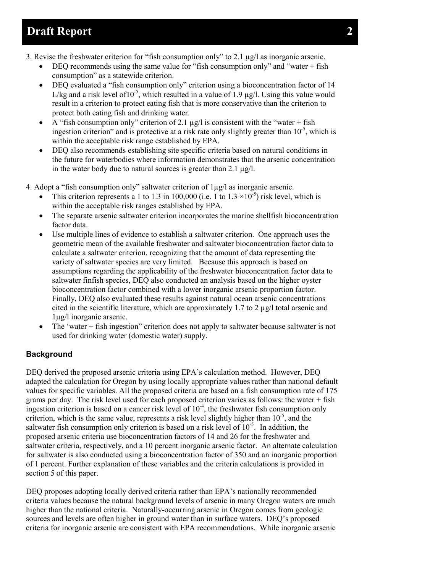- 3. Revise the freshwater criterion for "fish consumption only" to 2.1 µg/l as inorganic arsenic.
	- DEQ recommends using the same value for "fish consumption only" and "water  $+$  fish consumption" as a statewide criterion.
	- DEQ evaluated a "fish consumption only" criterion using a bioconcentration factor of 14 L/kg and a risk level of 10<sup>-5</sup>, which resulted in a value of 1.9  $\mu$ g/l. Using this value would result in a criterion to protect eating fish that is more conservative than the criterion to protect both eating fish and drinking water.
	- A "fish consumption only" criterion of 2.1  $\mu$ g/l is consistent with the "water + fish" ingestion criterion" and is protective at a risk rate only slightly greater than  $10^{-5}$ , which is within the acceptable risk range established by EPA.
	- DEQ also recommends establishing site specific criteria based on natural conditions in the future for waterbodies where information demonstrates that the arsenic concentration in the water body due to natural sources is greater than 2.1 µg/l.

4. Adopt a "fish consumption only" saltwater criterion of 1µg/l as inorganic arsenic.

- This criterion represents a 1 to 1.3 in 100,000 (i.e. 1 to  $1.3 \times 10^{-5}$ ) risk level, which is within the acceptable risk ranges established by EPA.
- The separate arsenic saltwater criterion incorporates the marine shellfish bioconcentration factor data.
- Use multiple lines of evidence to establish a saltwater criterion. One approach uses the geometric mean of the available freshwater and saltwater bioconcentration factor data to calculate a saltwater criterion, recognizing that the amount of data representing the variety of saltwater species are very limited. Because this approach is based on assumptions regarding the applicability of the freshwater bioconcentration factor data to saltwater finfish species, DEQ also conducted an analysis based on the higher oyster bioconcentration factor combined with a lower inorganic arsenic proportion factor. Finally, DEQ also evaluated these results against natural ocean arsenic concentrations cited in the scientific literature, which are approximately 1.7 to 2  $\mu$ g/l total arsenic and 1µg/l inorganic arsenic.
- The 'water + fish ingestion" criterion does not apply to saltwater because saltwater is not used for drinking water (domestic water) supply.

### <span id="page-4-0"></span>**Background**

DEQ derived the proposed arsenic criteria using EPA's calculation method. However, DEQ adapted the calculation for Oregon by using locally appropriate values rather than national default values for specific variables. All the proposed criteria are based on a fish consumption rate of 175 grams per day. The risk level used for each proposed criterion varies as follows: the water + fish ingestion criterion is based on a cancer risk level of  $10<sup>4</sup>$ , the freshwater fish consumption only criterion, which is the same value, represents a risk level slightly higher than  $10^{-5}$ , and the saltwater fish consumption only criterion is based on a risk level of  $10^{-5}$ . In addition, the proposed arsenic criteria use bioconcentration factors of 14 and 26 for the freshwater and saltwater criteria, respectively, and a 10 percent inorganic arsenic factor. An alternate calculation for saltwater is also conducted using a bioconcentration factor of 350 and an inorganic proportion of 1 percent. Further explanation of these variables and the criteria calculations is provided in section 5 of this paper.

DEQ proposes adopting locally derived criteria rather than EPA's nationally recommended criteria values because the natural background levels of arsenic in many Oregon waters are much higher than the national criteria. Naturally-occurring arsenic in Oregon comes from geologic sources and levels are often higher in ground water than in surface waters. DEQ's proposed criteria for inorganic arsenic are consistent with EPA recommendations. While inorganic arsenic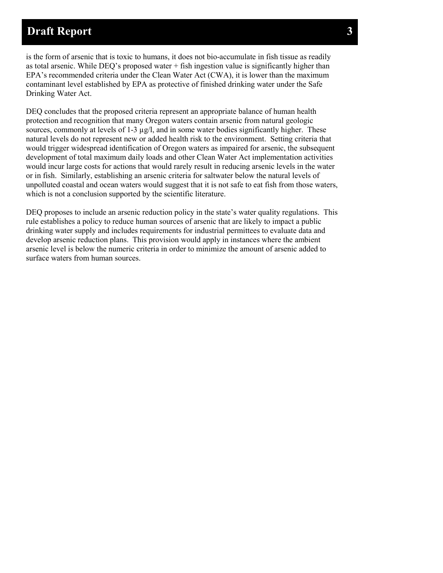is the form of arsenic that is toxic to humans, it does not bio-accumulate in fish tissue as readily as total arsenic. While DEQ's proposed water  $+$  fish ingestion value is significantly higher than EPA's recommended criteria under the Clean Water Act (CWA), it is lower than the maximum contaminant level established by EPA as protective of finished drinking water under the Safe Drinking Water Act.

DEQ concludes that the proposed criteria represent an appropriate balance of human health protection and recognition that many Oregon waters contain arsenic from natural geologic sources, commonly at levels of 1-3  $\mu$ g/l, and in some water bodies significantly higher. These natural levels do not represent new or added health risk to the environment. Setting criteria that would trigger widespread identification of Oregon waters as impaired for arsenic, the subsequent development of total maximum daily loads and other Clean Water Act implementation activities would incur large costs for actions that would rarely result in reducing arsenic levels in the water or in fish. Similarly, establishing an arsenic criteria for saltwater below the natural levels of unpolluted coastal and ocean waters would suggest that it is not safe to eat fish from those waters, which is not a conclusion supported by the scientific literature.

DEQ proposes to include an arsenic reduction policy in the state's water quality regulations. This rule establishes a policy to reduce human sources of arsenic that are likely to impact a public drinking water supply and includes requirements for industrial permittees to evaluate data and develop arsenic reduction plans. This provision would apply in instances where the ambient arsenic level is below the numeric criteria in order to minimize the amount of arsenic added to surface waters from human sources.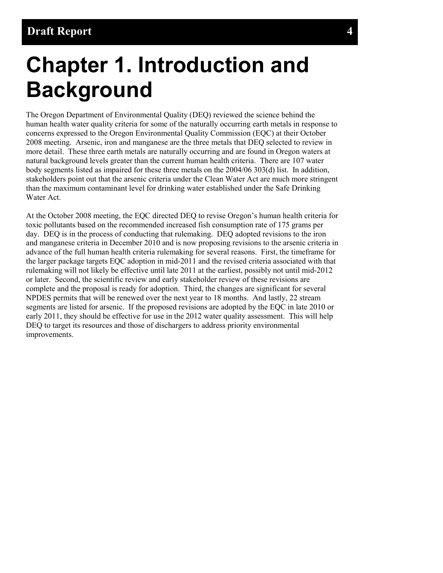# <span id="page-6-0"></span>**Chapter 1. Introduction and Background**

The Oregon Department of Environmental Quality (DEQ) reviewed the science behind the human health water quality criteria for some of the naturally occurring earth metals in response to concerns expressed to the Oregon Environmental Quality Commission (EQC) at their October 2008 meeting. Arsenic, iron and manganese are the three metals that DEQ selected to review in more detail. These three earth metals are naturally occurring and are found in Oregon waters at natural background levels greater than the current human health criteria. There are 107 water body segments listed as impaired for these three metals on the 2004/06 303(d) list. In addition, stakeholders point out that the arsenic criteria under the Clean Water Act are much more stringent than the maximum contaminant level for drinking water established under the Safe Drinking Water Act.

At the October 2008 meeting, the EQC directed DEQ to revise Oregon's human health criteria for toxic pollutants based on the recommended increased fish consumption rate of 175 grams per day. DEQ is in the process of conducting that rulemaking. DEQ adopted revisions to the iron and manganese criteria in December 2010 and is now proposing revisions to the arsenic criteria in advance of the full human health criteria rulemaking for several reasons. First, the timeframe for the larger package targets EQC adoption in mid-2011 and the revised criteria associated with that rulemaking will not likely be effective until late 2011 at the earliest, possibly not until mid-2012 or later. Second, the scientific review and early stakeholder review of these revisions are complete and the proposal is ready for adoption. Third, the changes are significant for several NPDES permits that will be renewed over the next year to 18 months. And lastly, 22 stream segments are listed for arsenic. If the proposed revisions are adopted by the EQC in late 2010 or early 2011, they should be effective for use in the 2012 water quality assessment. This will help DEQ to target its resources and those of dischargers to address priority environmental improvements.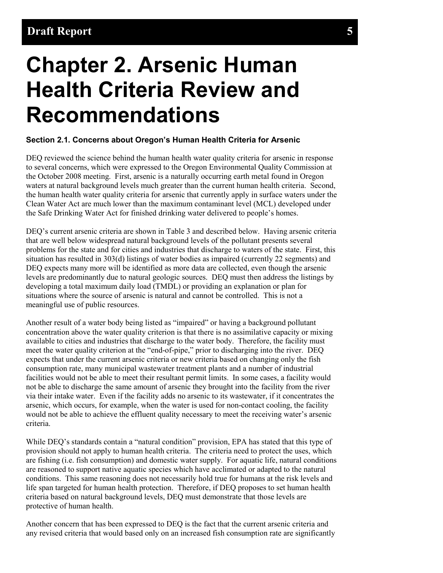# <span id="page-7-0"></span>**Chapter 2. Arsenic Human Health Criteria Review and Recommendations**

### <span id="page-7-1"></span>**Section 2.1. Concerns about Oregon's Human Health Criteria for Arsenic**

DEQ reviewed the science behind the human health water quality criteria for arsenic in response to several concerns, which were expressed to the Oregon Environmental Quality Commission at the October 2008 meeting. First, arsenic is a naturally occurring earth metal found in Oregon waters at natural background levels much greater than the current human health criteria. Second, the human health water quality criteria for arsenic that currently apply in surface waters under the Clean Water Act are much lower than the maximum contaminant level (MCL) developed under the Safe Drinking Water Act for finished drinking water delivered to people's homes.

DEQ's current arsenic criteria are shown in Table 3 and described below. Having arsenic criteria that are well below widespread natural background levels of the pollutant presents several problems for the state and for cities and industries that discharge to waters of the state. First, this situation has resulted in 303(d) listings of water bodies as impaired (currently 22 segments) and DEQ expects many more will be identified as more data are collected, even though the arsenic levels are predominantly due to natural geologic sources. DEQ must then address the listings by developing a total maximum daily load (TMDL) or providing an explanation or plan for situations where the source of arsenic is natural and cannot be controlled. This is not a meaningful use of public resources.

Another result of a water body being listed as "impaired" or having a background pollutant concentration above the water quality criterion is that there is no assimilative capacity or mixing available to cities and industries that discharge to the water body. Therefore, the facility must meet the water quality criterion at the "end-of-pipe," prior to discharging into the river. DEQ expects that under the current arsenic criteria or new criteria based on changing only the fish consumption rate, many municipal wastewater treatment plants and a number of industrial facilities would not be able to meet their resultant permit limits. In some cases, a facility would not be able to discharge the same amount of arsenic they brought into the facility from the river via their intake water. Even if the facility adds no arsenic to its wastewater, if it concentrates the arsenic, which occurs, for example, when the water is used for non-contact cooling, the facility would not be able to achieve the effluent quality necessary to meet the receiving water's arsenic criteria.

While DEQ's standards contain a "natural condition" provision, EPA has stated that this type of provision should not apply to human health criteria. The criteria need to protect the uses, which are fishing (i.e. fish consumption) and domestic water supply. For aquatic life, natural conditions are reasoned to support native aquatic species which have acclimated or adapted to the natural conditions. This same reasoning does not necessarily hold true for humans at the risk levels and life span targeted for human health protection. Therefore, if DEQ proposes to set human health criteria based on natural background levels, DEQ must demonstrate that those levels are protective of human health.

Another concern that has been expressed to DEQ is the fact that the current arsenic criteria and any revised criteria that would based only on an increased fish consumption rate are significantly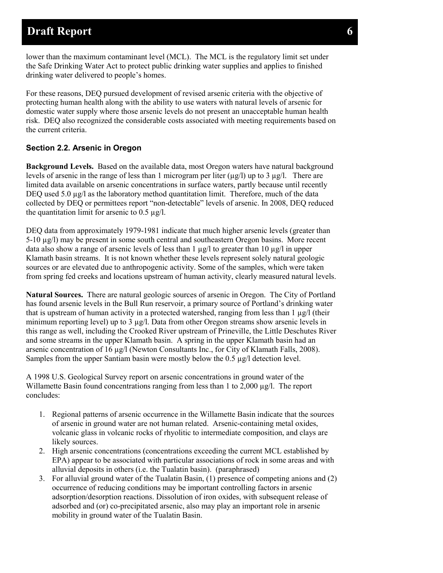lower than the maximum contaminant level (MCL). The MCL is the regulatory limit set under the Safe Drinking Water Act to protect public drinking water supplies and applies to finished drinking water delivered to people's homes.

For these reasons, DEQ pursued development of revised arsenic criteria with the objective of protecting human health along with the ability to use waters with natural levels of arsenic for domestic water supply where those arsenic levels do not present an unacceptable human health risk. DEQ also recognized the considerable costs associated with meeting requirements based on the current criteria.

### <span id="page-8-0"></span>**Section 2.2. Arsenic in Oregon**

**Background Levels.** Based on the available data, most Oregon waters have natural background levels of arsenic in the range of less than 1 microgram per liter  $(\mu g/l)$  up to 3  $\mu g/l$ . There are limited data available on arsenic concentrations in surface waters, partly because until recently DEQ used 5.0  $\mu$ g/l as the laboratory method quantitation limit. Therefore, much of the data collected by DEQ or permittees report "non-detectable" levels of arsenic. In 2008, DEQ reduced the quantitation limit for arsenic to  $0.5 \mu$ g/l.

DEQ data from approximately 1979-1981 indicate that much higher arsenic levels (greater than 5-10 µg/l) may be present in some south central and southeastern Oregon basins. More recent data also show a range of arsenic levels of less than  $1 \mu g/l$  to greater than  $10 \mu g/l$  in upper Klamath basin streams. It is not known whether these levels represent solely natural geologic sources or are elevated due to anthropogenic activity. Some of the samples, which were taken from spring fed creeks and locations upstream of human activity, clearly measured natural levels.

**Natural Sources.** There are natural geologic sources of arsenic in Oregon. The City of Portland has found arsenic levels in the Bull Run reservoir, a primary source of Portland's drinking water that is upstream of human activity in a protected watershed, ranging from less than  $1 \mu g/l$  (their minimum reporting level) up to 3 µg/l. Data from other Oregon streams show arsenic levels in this range as well, including the Crooked River upstream of Prineville, the Little Deschutes River and some streams in the upper Klamath basin. A spring in the upper Klamath basin had an arsenic concentration of 16  $\mu$ g/l (Newton Consultants Inc., for City of Klamath Falls, 2008). Samples from the upper Santiam basin were mostly below the 0.5 µg/l detection level.

A 1998 U.S. Geological Survey report on arsenic concentrations in ground water of the Willamette Basin found concentrations ranging from less than 1 to 2,000  $\mu$ g/l. The report concludes:

- 1. Regional patterns of arsenic occurrence in the Willamette Basin indicate that the sources of arsenic in ground water are not human related. Arsenic-containing metal oxides, volcanic glass in volcanic rocks of rhyolitic to intermediate composition, and clays are likely sources.
- 2. High arsenic concentrations (concentrations exceeding the current MCL established by EPA) appear to be associated with particular associations of rock in some areas and with alluvial deposits in others (i.e. the Tualatin basin). (paraphrased)
- 3. For alluvial ground water of the Tualatin Basin, (1) presence of competing anions and (2) occurrence of reducing conditions may be important controlling factors in arsenic adsorption/desorption reactions. Dissolution of iron oxides, with subsequent release of adsorbed and (or) co-precipitated arsenic, also may play an important role in arsenic mobility in ground water of the Tualatin Basin.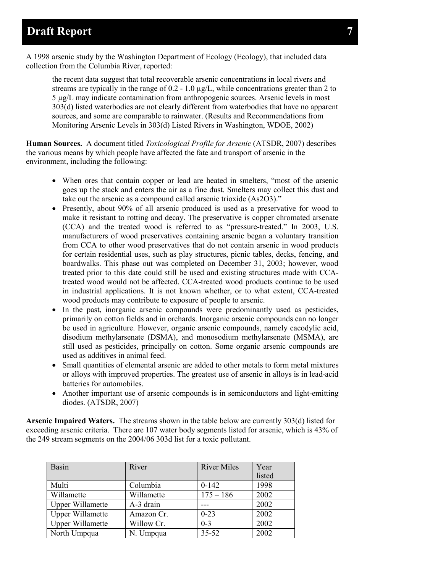A 1998 arsenic study by the Washington Department of Ecology (Ecology), that included data collection from the Columbia River, reported:

the recent data suggest that total recoverable arsenic concentrations in local rivers and streams are typically in the range of  $0.2 - 1.0 \mu g/L$ , while concentrations greater than 2 to 5 µg/L may indicate contamination from anthropogenic sources. Arsenic levels in most 303(d) listed waterbodies are not clearly different from waterbodies that have no apparent sources, and some are comparable to rainwater. (Results and Recommendations from Monitoring Arsenic Levels in 303(d) Listed Rivers in Washington, WDOE, 2002)

**Human Sources.** A document titled *Toxicological Profile for Arsenic* (ATSDR, 2007) describes the various means by which people have affected the fate and transport of arsenic in the environment, including the following:

- When ores that contain copper or lead are heated in smelters, "most of the arsenic goes up the stack and enters the air as a fine dust. Smelters may collect this dust and take out the arsenic as a compound called arsenic trioxide (As2O3)."
- Presently, about 90% of all arsenic produced is used as a preservative for wood to make it resistant to rotting and decay. The preservative is copper chromated arsenate (CCA) and the treated wood is referred to as "pressure-treated." In 2003, U.S. manufacturers of wood preservatives containing arsenic began a voluntary transition from CCA to other wood preservatives that do not contain arsenic in wood products for certain residential uses, such as play structures, picnic tables, decks, fencing, and boardwalks. This phase out was completed on December 31, 2003; however, wood treated prior to this date could still be used and existing structures made with CCAtreated wood would not be affected. CCA-treated wood products continue to be used in industrial applications. It is not known whether, or to what extent, CCA-treated wood products may contribute to exposure of people to arsenic.
- In the past, inorganic arsenic compounds were predominantly used as pesticides, primarily on cotton fields and in orchards. Inorganic arsenic compounds can no longer be used in agriculture. However, organic arsenic compounds, namely cacodylic acid, disodium methylarsenate (DSMA), and monosodium methylarsenate (MSMA), are still used as pesticides, principally on cotton. Some organic arsenic compounds are used as additives in animal feed.
- Small quantities of elemental arsenic are added to other metals to form metal mixtures or alloys with improved properties. The greatest use of arsenic in alloys is in lead-acid batteries for automobiles.
- Another important use of arsenic compounds is in semiconductors and light-emitting diodes. (ATSDR, 2007)

**Arsenic Impaired Waters.** The streams shown in the table below are currently 303(d) listed for exceeding arsenic criteria. There are 107 water body segments listed for arsenic, which is 43% of the 249 stream segments on the 2004/06 303d list for a toxic pollutant.

| <b>Basin</b>            | River      | <b>River Miles</b> | Year   |
|-------------------------|------------|--------------------|--------|
|                         |            |                    | listed |
| Multi                   | Columbia   | $0-142$            | 1998   |
| Willamette              | Willamette | $175 - 186$        | 2002   |
| <b>Upper Willamette</b> | A-3 drain  |                    | 2002   |
| <b>Upper Willamette</b> | Amazon Cr. | $0 - 23$           | 2002   |
| <b>Upper Willamette</b> | Willow Cr. | $0 - 3$            | 2002   |
| North Umpqua            | N. Umpqua  | $35 - 52$          | 2002   |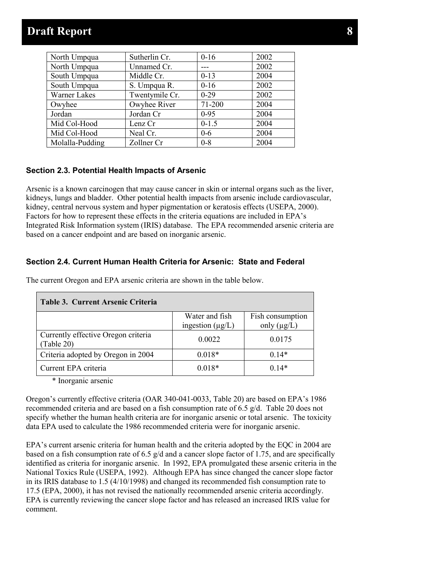| North Umpqua    | Sutherlin Cr.  | $0 - 16$ | 2002 |
|-----------------|----------------|----------|------|
| North Umpqua    | Unnamed Cr.    |          | 2002 |
| South Umpqua    | Middle Cr.     | $0-13$   | 2004 |
| South Umpqua    | S. Umpqua R.   | $0 - 16$ | 2002 |
| Warner Lakes    | Twentymile Cr. | $0-29$   | 2002 |
| Owyhee          | Owyhee River   | 71-200   | 2004 |
| Jordan          | Jordan Cr      | $0 - 95$ | 2004 |
| Mid Col-Hood    | Lenz Cr        | $0-1.5$  | 2004 |
| Mid Col-Hood    | Neal Cr.       | $0-6$    | 2004 |
| Molalla-Pudding | Zollner Cr     | $0 - 8$  | 2004 |
|                 |                |          |      |

#### <span id="page-10-0"></span>**Section 2.3. Potential Health Impacts of Arsenic**

Arsenic is a known carcinogen that may cause cancer in skin or internal organs such as the liver, kidneys, lungs and bladder. Other potential health impacts from arsenic include cardiovascular, kidney, central nervous system and hyper pigmentation or keratosis effects (USEPA, 2000). Factors for how to represent these effects in the criteria equations are included in EPA's Integrated Risk Information system (IRIS) database. The EPA recommended arsenic criteria are based on a cancer endpoint and are based on inorganic arsenic.

### <span id="page-10-1"></span>**Section 2.4. Current Human Health Criteria for Arsenic: State and Federal**

| Table 3. Current Arsenic Criteria                 |                       |                  |
|---------------------------------------------------|-----------------------|------------------|
|                                                   | Water and fish        | Fish consumption |
|                                                   | ingestion $(\mu g/L)$ | only $(\mu g/L)$ |
| Currently effective Oregon criteria<br>(Table 20) | 0.0022                | 0.0175           |
| Criteria adopted by Oregon in 2004                | $0.018*$              | $0.14*$          |
| Current EPA criteria                              | $0.018*$              | $0.14*$          |

The current Oregon and EPA arsenic criteria are shown in the table below.

\* Inorganic arsenic

Oregon's currently effective criteria (OAR 340-041-0033, Table 20) are based on EPA's 1986 recommended criteria and are based on a fish consumption rate of 6.5 g/d. Table 20 does not specify whether the human health criteria are for inorganic arsenic or total arsenic. The toxicity data EPA used to calculate the 1986 recommended criteria were for inorganic arsenic.

EPA's current arsenic criteria for human health and the criteria adopted by the EQC in 2004 are based on a fish consumption rate of 6.5  $g/d$  and a cancer slope factor of 1.75, and are specifically identified as criteria for inorganic arsenic. In 1992, EPA promulgated these arsenic criteria in the National Toxics Rule (USEPA, 1992). Although EPA has since changed the cancer slope factor in its IRIS database to 1.5 (4/10/1998) and changed its recommended fish consumption rate to 17.5 (EPA, 2000), it has not revised the nationally recommended arsenic criteria accordingly. EPA is currently reviewing the cancer slope factor and has released an increased IRIS value for comment.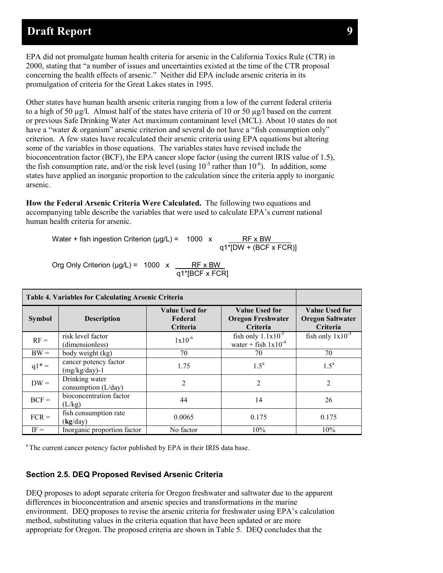EPA did not promulgate human health criteria for arsenic in the California Toxics Rule (CTR) in 2000, stating that "a number of issues and uncertainties existed at the time of the CTR proposal concerning the health effects of arsenic." Neither did EPA include arsenic criteria in its promulgation of criteria for the Great Lakes states in 1995.

Other states have human health arsenic criteria ranging from a low of the current federal criteria to a high of 50 µg/l. Almost half of the states have criteria of 10 or 50 µg/l based on the current or previous Safe Drinking Water Act maximum contaminant level (MCL). About 10 states do not have a "water & organism" arsenic criterion and several do not have a "fish consumption only" criterion. A few states have recalculated their arsenic criteria using EPA equations but altering some of the variables in those equations. The variables states have revised include the bioconcentration factor (BCF), the EPA cancer slope factor (using the current IRIS value of 1.5), the fish consumption rate, and/or the risk level (using  $10^{-5}$  rather than  $10^{-6}$ ). In addition, some states have applied an inorganic proportion to the calculation since the criteria apply to inorganic arsenic.

**How the Federal Arsenic Criteria Were Calculated.** The following two equations and accompanying table describe the variables that were used to calculate EPA's current national human health criteria for arsenic.

Water + fish ingestion Criterion ( $\mu$ g/L) = 1000 x  $RF \times BW$ <br>q1\*[DW + (BCF x FCR)]

Org Only Criterion ( $\mu$ g/L) = 1000 x  $\frac{\phantom{1}}{1}$  RF x BW q1\*[BCF x FCR]

| <b>Table 4. Variables for Calculating Arsenic Criteria</b> |                                            |                                              |                                                        |                                                              |
|------------------------------------------------------------|--------------------------------------------|----------------------------------------------|--------------------------------------------------------|--------------------------------------------------------------|
| <b>Symbol</b>                                              | <b>Description</b>                         | <b>Value Used for</b><br>Federal<br>Criteria | Value Used for<br><b>Oregon Freshwater</b><br>Criteria | <b>Value Used for</b><br><b>Oregon Saltwater</b><br>Criteria |
| $RF =$                                                     | risk level factor<br>(dimensionless)       | $1x10^{-6}$                                  | fish only $1.1x10^{-5}$<br>water + fish $1x10^{-4}$    | fish only $1x10^{-5}$                                        |
| $BW =$                                                     | body weight (kg)                           | 70                                           | 70                                                     | 70                                                           |
| $q1* =$                                                    | cancer potency factor<br>$(mg/kg/day) - 1$ | 1.75                                         | $1.5^{\text{a}}$                                       | $1.5^{\mathrm{a}}$                                           |
| $DW =$                                                     | Drinking water<br>consumption $(L/day)$    | $\overline{2}$                               | 2                                                      | $\overline{2}$                                               |
| $BCF =$                                                    | bioconcentration factor<br>(L/kg)          | 44                                           | 14                                                     | 26                                                           |
| $FCR =$                                                    | fish consumption rate<br>(kg/day)          | 0.0065                                       | 0.175                                                  | 0.175                                                        |
| $IF =$                                                     | Inorganic proportion factor                | No factor                                    | 10%                                                    | 10%                                                          |

<sup>a</sup> The current cancer potency factor published by EPA in their IRIS data base.

#### <span id="page-11-0"></span>**Section 2.5. DEQ Proposed Revised Arsenic Criteria**

DEQ proposes to adopt separate criteria for Oregon freshwater and saltwater due to the apparent differences in bioconcentration and arsenic species and transformations in the marine environment. DEQ proposes to revise the arsenic criteria for freshwater using EPA's calculation method, substituting values in the criteria equation that have been updated or are more appropriate for Oregon. The proposed criteria are shown in Table 5. DEQ concludes that the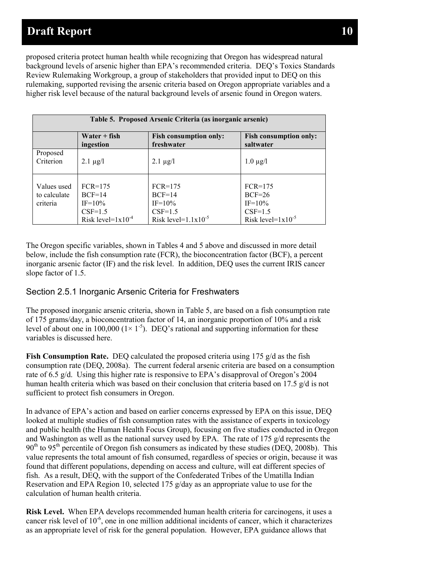proposed criteria protect human health while recognizing that Oregon has widespread natural background levels of arsenic higher than EPA's recommended criteria. DEQ's Toxics Standards Review Rulemaking Workgroup, a group of stakeholders that provided input to DEQ on this rulemaking, supported revising the arsenic criteria based on Oregon appropriate variables and a higher risk level because of the natural background levels of arsenic found in Oregon waters.

| Table 5. Proposed Arsenic Criteria (as inorganic arsenic) |                                                                                |                                                                                |                                                                              |
|-----------------------------------------------------------|--------------------------------------------------------------------------------|--------------------------------------------------------------------------------|------------------------------------------------------------------------------|
|                                                           | $Water + fish$<br>ingestion                                                    | <b>Fish consumption only:</b><br>freshwater                                    | <b>Fish consumption only:</b><br>saltwater                                   |
| Proposed<br>Criterion                                     | $2.1 \mu g/l$                                                                  | $2.1 \mu g/l$                                                                  | $1.0 \mu g/l$                                                                |
| Values used<br>to calculate<br>criteria                   | $FCR = 175$<br>$BCF=14$<br>$IF = 10\%$<br>$CSF=1.5$<br>Risk level= $1x10^{-4}$ | $FCR=175$<br>$BCF=14$<br>$IF = 10\%$<br>$CSF=1.5$<br>Risk level= $1.1x10^{-5}$ | $FCR=175$<br>$BCF=26$<br>$IF = 10\%$<br>$CSF=1.5$<br>Risk level= $1x10^{-5}$ |

The Oregon specific variables, shown in Tables 4 and 5 above and discussed in more detail below, include the fish consumption rate (FCR), the bioconcentration factor (BCF), a percent inorganic arsenic factor (IF) and the risk level. In addition, DEQ uses the current IRIS cancer slope factor of 1.5.

### <span id="page-12-0"></span>Section 2.5.1 Inorganic Arsenic Criteria for Freshwaters

The proposed inorganic arsenic criteria, shown in Table 5, are based on a fish consumption rate of 175 grams/day, a bioconcentration factor of 14, an inorganic proportion of 10% and a risk level of about one in 100,000 ( $1 \times 1^{-5}$ ). DEQ's rational and supporting information for these variables is discussed here.

**Fish Consumption Rate.** DEO calculated the proposed criteria using 175 g/d as the fish consumption rate (DEQ, 2008a). The current federal arsenic criteria are based on a consumption rate of 6.5 g/d. Using this higher rate is responsive to EPA's disapproval of Oregon's 2004 human health criteria which was based on their conclusion that criteria based on 17.5 g/d is not sufficient to protect fish consumers in Oregon.

In advance of EPA's action and based on earlier concerns expressed by EPA on this issue, DEQ looked at multiple studies of fish consumption rates with the assistance of experts in toxicology and public health (the Human Health Focus Group), focusing on five studies conducted in Oregon and Washington as well as the national survey used by EPA. The rate of 175  $g/d$  represents the  $90<sup>th</sup>$  to  $95<sup>th</sup>$  percentile of Oregon fish consumers as indicated by these studies (DEQ, 2008b). This value represents the total amount of fish consumed, regardless of species or origin, because it was found that different populations, depending on access and culture, will eat different species of fish. As a result, DEQ, with the support of the Confederated Tribes of the Umatilla Indian Reservation and EPA Region 10, selected 175  $g/day$  as an appropriate value to use for the calculation of human health criteria.

**Risk Level.** When EPA develops recommended human health criteria for carcinogens, it uses a cancer risk level of 10<sup>-6</sup>, one in one million additional incidents of cancer, which it characterizes as an appropriate level of risk for the general population. However, EPA guidance allows that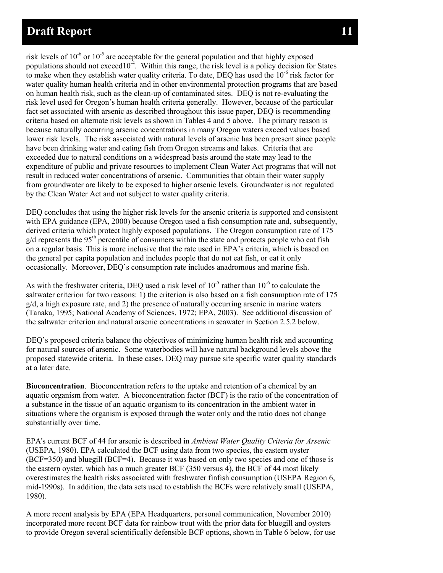risk levels of  $10^{-6}$  or  $10^{-5}$  are acceptable for the general population and that highly exposed populations should not exceed  $10^{-4}$ . Within this range, the risk level is a policy decision for States to make when they establish water quality criteria. To date, DEQ has used the  $10^{-6}$  risk factor for water quality human health criteria and in other environmental protection programs that are based on human health risk, such as the clean-up of contaminated sites. DEQ is not re-evaluating the risk level used for Oregon's human health criteria generally. However, because of the particular fact set associated with arsenic as described throughout this issue paper, DEQ is recommending criteria based on alternate risk levels as shown in Tables 4 and 5 above. The primary reason is because naturally occurring arsenic concentrations in many Oregon waters exceed values based lower risk levels. The risk associated with natural levels of arsenic has been present since people have been drinking water and eating fish from Oregon streams and lakes. Criteria that are exceeded due to natural conditions on a widespread basis around the state may lead to the expenditure of public and private resources to implement Clean Water Act programs that will not result in reduced water concentrations of arsenic. Communities that obtain their water supply from groundwater are likely to be exposed to higher arsenic levels. Groundwater is not regulated by the Clean Water Act and not subject to water quality criteria.

DEQ concludes that using the higher risk levels for the arsenic criteria is supported and consistent with EPA guidance (EPA, 2000) because Oregon used a fish consumption rate and, subsequently, derived criteria which protect highly exposed populations. The Oregon consumption rate of 175  $g/d$  represents the 95<sup>th</sup> percentile of consumers within the state and protects people who eat fish on a regular basis. This is more inclusive that the rate used in EPA's criteria, which is based on the general per capita population and includes people that do not eat fish, or eat it only occasionally. Moreover, DEQ's consumption rate includes anadromous and marine fish.

As with the freshwater criteria, DEQ used a risk level of  $10^{-5}$  rather than  $10^{-6}$  to calculate the saltwater criterion for two reasons: 1) the criterion is also based on a fish consumption rate of 175  $g/d$ , a high exposure rate, and 2) the presence of naturally occurring arsenic in marine waters (Tanaka, 1995; National Academy of Sciences, 1972; EPA, 2003). See additional discussion of the saltwater criterion and natural arsenic concentrations in seawater in Section 2.5.2 below.

DEQ's proposed criteria balance the objectives of minimizing human health risk and accounting for natural sources of arsenic. Some waterbodies will have natural background levels above the proposed statewide criteria. In these cases, DEQ may pursue site specific water quality standards at a later date.

**Bioconcentration**. Bioconcentration refers to the uptake and retention of a chemical by an aquatic organism from water. A bioconcentration factor (BCF) is the ratio of the concentration of a substance in the tissue of an aquatic organism to its concentration in the ambient water in situations where the organism is exposed through the water only and the ratio does not change substantially over time.

EPA's current BCF of 44 for arsenic is described in *Ambient Water Quality Criteria for Arsenic*  (USEPA, 1980). EPA calculated the BCF using data from two species, the eastern oyster (BCF=350) and bluegill (BCF=4). Because it was based on only two species and one of those is the eastern oyster, which has a much greater BCF (350 versus 4), the BCF of 44 most likely overestimates the health risks associated with freshwater finfish consumption (USEPA Region 6, mid-1990s). In addition, the data sets used to establish the BCFs were relatively small (USEPA, 1980).

A more recent analysis by EPA (EPA Headquarters, personal communication, November 2010) incorporated more recent BCF data for rainbow trout with the prior data for bluegill and oysters to provide Oregon several scientifically defensible BCF options, shown in Table 6 below, for use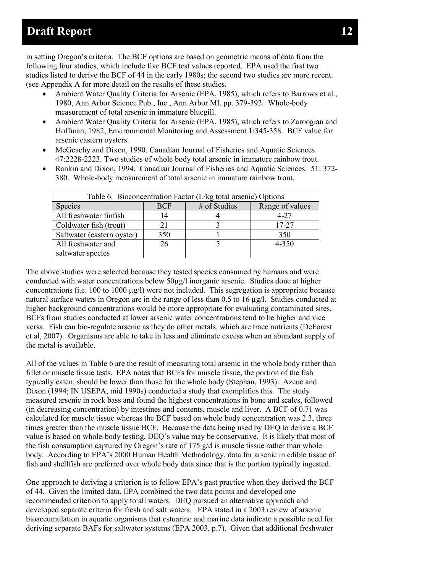in setting Oregon's criteria. The BCF options are based on geometric means of data from the following four studies, which include five BCF test values reported. EPA used the first two studies listed to derive the BCF of 44 in the early 1980s; the second two studies are more recent. (see Appendix A for more detail on the results of these studies.

- Ambient Water Quality Criteria for Arsenic (EPA, 1985), which refers to Barrows et al., 1980, Ann Arbor Science Pub., Inc., Ann Arbor MI. pp. 379-392. Whole-body measurement of total arsenic in immature bluegill.
- Ambient Water Quality Criteria for Arsenic (EPA, 1985), which refers to Zaroogian and Hoffman, 1982, Environmental Monitoring and Assessment 1:345-358. BCF value for arsenic eastern oysters.
- McGeachy and Dixon, 1990. Canadian Journal of Fisheries and Aquatic Sciences. 47:2228-2223. Two studies of whole body total arsenic in immature rainbow trout.
- Rankin and Dixon, 1994. Canadian Journal of Fisheries and Aquatic Sciences. 51: 372-380. Whole-body measurement of total arsenic in immature rainbow trout.

| Table 6. Bioconcentration Factor (L/kg total arsenic) Options |            |              |                 |
|---------------------------------------------------------------|------------|--------------|-----------------|
| <b>Species</b>                                                | <b>BCF</b> | # of Studies | Range of values |
| All freshwater finfish                                        | 14         |              | $4 - 27$        |
| Coldwater fish (trout)                                        |            |              | 17-27           |
| Saltwater (eastern oyster)                                    | 350        |              | 350             |
| All freshwater and                                            | 26         |              | 4-350           |
| saltwater species                                             |            |              |                 |

The above studies were selected because they tested species consumed by humans and were conducted with water concentrations below 50µg/l inorganic arsenic. Studies done at higher concentrations (i.e. 100 to 1000  $\mu$ g/l) were not included. This segregation is appropriate because natural surface waters in Oregon are in the range of less than 0.5 to 16 ug/l. Studies conducted at higher background concentrations would be more appropriate for evaluating contaminated sites. BCFs from studies conducted at lower arsenic water concentrations tend to be higher and vice versa. Fish can bio-regulate arsenic as they do other metals, which are trace nutrients (DeForest et al, 2007). Organisms are able to take in less and eliminate excess when an abundant supply of the metal is available.

All of the values in Table 6 are the result of measuring total arsenic in the whole body rather than fillet or muscle tissue tests. EPA notes that BCFs for muscle tissue, the portion of the fish typically eaten, should be lower than those for the whole body (Stephan, 1993). Azcue and Dixon (1994; IN USEPA, mid 1990s) conducted a study that exemplifies this. The study measured arsenic in rock bass and found the highest concentrations in bone and scales, followed (in decreasing concentration) by intestines and contents, muscle and liver. A BCF of 0.71 was calculated for muscle tissue whereas the BCF based on whole body concentration was 2.3, three times greater than the muscle tissue BCF. Because the data being used by DEQ to derive a BCF value is based on whole-body testing, DEQ's value may be conservative. It is likely that most of the fish consumption captured by Oregon's rate of 175  $g/d$  is muscle tissue rather than whole body. According to EPA's 2000 Human Health Methodology, data for arsenic in edible tissue of fish and shellfish are preferred over whole body data since that is the portion typically ingested.

One approach to deriving a criterion is to follow EPA's past practice when they derived the BCF of 44. Given the limited data, EPA combined the two data points and developed one recommended criterion to apply to all waters. DEQ pursued an alternative approach and developed separate criteria for fresh and salt waters. EPA stated in a 2003 review of arsenic bioaccumulation in aquatic organisms that estuarine and marine data indicate a possible need for deriving separate BAFs for saltwater systems (EPA 2003, p.7). Given that additional freshwater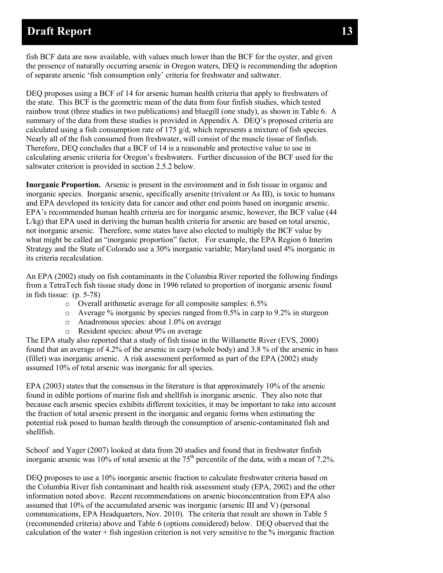fish BCF data are now available, with values much lower than the BCF for the oyster, and given the presence of naturally occurring arsenic in Oregon waters, DEQ is recommending the adoption of separate arsenic 'fish consumption only' criteria for freshwater and saltwater.

DEQ proposes using a BCF of 14 for arsenic human health criteria that apply to freshwaters of the state. This BCF is the geometric mean of the data from four finfish studies, which tested rainbow trout (three studies in two publications) and bluegill (one study), as shown in Table 6. A summary of the data from these studies is provided in Appendix A. DEQ's proposed criteria are calculated using a fish consumption rate of 175  $g/d$ , which represents a mixture of fish species. Nearly all of the fish consumed from freshwater, will consist of the muscle tissue of finfish. Therefore, DEQ concludes that a BCF of 14 is a reasonable and protective value to use in calculating arsenic criteria for Oregon's freshwaters. Further discussion of the BCF used for the saltwater criterion is provided in section 2.5.2 below.

**Inorganic Proportion.** Arsenic is present in the environment and in fish tissue in organic and inorganic species. Inorganic arsenic, specifically arsenite (trivalent or As III), is toxic to humans and EPA developed its toxicity data for cancer and other end points based on inorganic arsenic. EPA's recommended human health criteria are for inorganic arsenic, however, the BCF value (44 L/kg) that EPA used in deriving the human health criteria for arsenic are based on total arsenic, not inorganic arsenic. Therefore, some states have also elected to multiply the BCF value by what might be called an "inorganic proportion" factor. For example, the EPA Region 6 Interim Strategy and the State of Colorado use a 30% inorganic variable; Maryland used 4% inorganic in its criteria recalculation.

An EPA (2002) study on fish contaminants in the Columbia River reported the following findings from a TetraTech fish tissue study done in 1996 related to proportion of inorganic arsenic found in fish tissue: (p. 5-78)

- o Overall arithmetic average for all composite samples: 6.5%
- o Average % inorganic by species ranged from 0.5% in carp to 9.2% in sturgeon
- o Anadromous species: about 1.0% on average
- o Resident species: about 9% on average

The EPA study also reported that a study of fish tissue in the Willamette River (EVS, 2000) found that an average of 4.2% of the arsenic in carp (whole body) and 3.8 % of the arsenic in bass (fillet) was inorganic arsenic. A risk assessment performed as part of the EPA (2002) study assumed 10% of total arsenic was inorganic for all species.

EPA (2003) states that the consensus in the literature is that approximately 10% of the arsenic found in edible portions of marine fish and shellfish is inorganic arsenic. They also note that because each arsenic species exhibits different toxicities, it may be important to take into account the fraction of total arsenic present in the inorganic and organic forms when estimating the potential risk posed to human health through the consumption of arsenic-contaminated fish and shellfish.

Schoof and Yager (2007) looked at data from 20 studies and found that in freshwater finfish inorganic arsenic was 10% of total arsenic at the  $75<sup>th</sup>$  percentile of the data, with a mean of 7.2%.

DEQ proposes to use a 10% inorganic arsenic fraction to calculate freshwater criteria based on the Columbia River fish contaminant and health risk assessment study (EPA, 2002) and the other information noted above. Recent recommendations on arsenic bioconcentration from EPA also assumed that 10% of the accumulated arsenic was inorganic (arsenic III and V) (personal communications, EPA Headquarters, Nov. 2010). The criteria that result are shown in Table 5 (recommended criteria) above and Table 6 (options considered) below. DEQ observed that the calculation of the water  $+$  fish ingestion criterion is not very sensitive to the  $\%$  inorganic fraction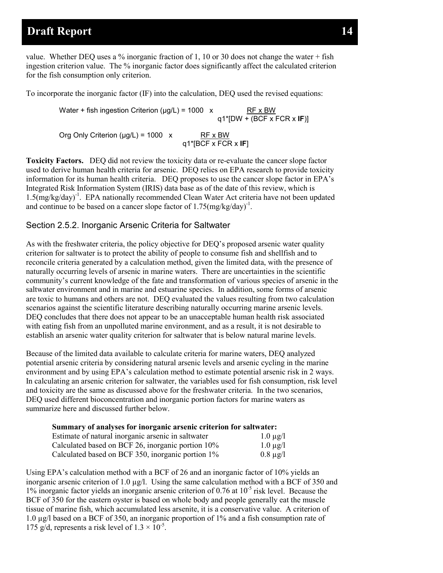value. Whether DEO uses a % inorganic fraction of 1, 10 or 30 does not change the water  $+$  fish ingestion criterion value. The % inorganic factor does significantly affect the calculated criterion for the fish consumption only criterion.

To incorporate the inorganic factor (IF) into the calculation, DEQ used the revised equations:

Water + fish ingestion Criterion ( $\mu$ g/L) = 1000 x RF x BW q1\*[DW + (BCF x FCR x **IF**)] Org Only Criterion ( $\mu$ g/L) = 1000 x RF x BW q1\*[BCF x FCR x **IF**]

**Toxicity Factors.** DEQ did not review the toxicity data or re-evaluate the cancer slope factor used to derive human health criteria for arsenic. DEQ relies on EPA research to provide toxicity information for its human health criteria. DEQ proposes to use the cancer slope factor in EPA's Integrated Risk Information System (IRIS) data base as of the date of this review, which is 1.5(mg/kg/day)-1 . EPA nationally recommended Clean Water Act criteria have not been updated and continue to be based on a cancer slope factor of  $1.75 \text{(mg/kg/day)}^{-1}$ .

#### <span id="page-16-0"></span>Section 2.5.2. Inorganic Arsenic Criteria for Saltwater

As with the freshwater criteria, the policy objective for DEQ's proposed arsenic water quality criterion for saltwater is to protect the ability of people to consume fish and shellfish and to reconcile criteria generated by a calculation method, given the limited data, with the presence of naturally occurring levels of arsenic in marine waters. There are uncertainties in the scientific community's current knowledge of the fate and transformation of various species of arsenic in the saltwater environment and in marine and estuarine species. In addition, some forms of arsenic are toxic to humans and others are not. DEQ evaluated the values resulting from two calculation scenarios against the scientific literature describing naturally occurring marine arsenic levels. DEQ concludes that there does not appear to be an unacceptable human health risk associated with eating fish from an unpolluted marine environment, and as a result, it is not desirable to establish an arsenic water quality criterion for saltwater that is below natural marine levels.

Because of the limited data available to calculate criteria for marine waters, DEQ analyzed potential arsenic criteria by considering natural arsenic levels and arsenic cycling in the marine environment and by using EPA's calculation method to estimate potential arsenic risk in 2 ways. In calculating an arsenic criterion for saltwater, the variables used for fish consumption, risk level and toxicity are the same as discussed above for the freshwater criteria. In the two scenarios, DEQ used different bioconcentration and inorganic portion factors for marine waters as summarize here and discussed further below.

| Summary of analyses for inorganic arsenic criterion for saltwater: |               |
|--------------------------------------------------------------------|---------------|
| Estimate of natural inorganic arsenic in saltwater                 | $1.0 \mu$ g/l |
| Calculated based on BCF 26, inorganic portion 10%                  | $1.0 \mu$ g/l |
| Calculated based on BCF 350, inorganic portion 1%                  | $0.8 \mu g/l$ |

Using EPA's calculation method with a BCF of 26 and an inorganic factor of 10% yields an inorganic arsenic criterion of 1.0  $\mu$ g/l. Using the same calculation method with a BCF of 350 and  $1\%$  inorganic factor yields an inorganic arsenic criterion of 0.76 at  $10^{-5}$  risk level. Because the BCF of 350 for the eastern oyster is based on whole body and people generally eat the muscle tissue of marine fish, which accumulated less arsenite, it is a conservative value. A criterion of 1.0 µg/l based on a BCF of 350, an inorganic proportion of 1% and a fish consumption rate of 175 g/d, represents a risk level of  $1.3 \times 10^{-5}$ .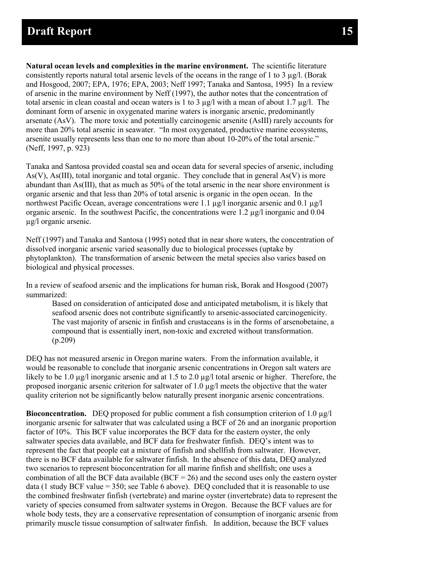**Natural ocean levels and complexities in the marine environment.** The scientific literature consistently reports natural total arsenic levels of the oceans in the range of 1 to 3  $\mu$ g/l. (Borak and Hosgood, 2007; EPA, 1976; EPA, 2003; Neff 1997; Tanaka and Santosa, 1995) In a review of arsenic in the marine environment by Neff (1997), the author notes that the concentration of total arsenic in clean coastal and ocean waters is 1 to 3  $\mu$ g/l with a mean of about 1.7  $\mu$ g/l. The dominant form of arsenic in oxygenated marine waters is inorganic arsenic, predominantly arsenate (AsV). The more toxic and potentially carcinogenic arsenite (AsIII) rarely accounts for more than 20% total arsenic in seawater. "In most oxygenated, productive marine ecosystems, arsenite usually represents less than one to no more than about 10-20% of the total arsenic." (Neff, 1997, p. 923)

Tanaka and Santosa provided coastal sea and ocean data for several species of arsenic, including As(V), As(III), total inorganic and total organic. They conclude that in general As(V) is more abundant than As(III), that as much as 50% of the total arsenic in the near shore environment is organic arsenic and that less than 20% of total arsenic is organic in the open ocean. In the northwest Pacific Ocean, average concentrations were 1.1 µg/l inorganic arsenic and 0.1 µg/l organic arsenic. In the southwest Pacific, the concentrations were  $1.2 \mu g/l$  inorganic and  $0.04$ µg/l organic arsenic.

Neff (1997) and Tanaka and Santosa (1995) noted that in near shore waters, the concentration of dissolved inorganic arsenic varied seasonally due to biological processes (uptake by phytoplankton). The transformation of arsenic between the metal species also varies based on biological and physical processes.

In a review of seafood arsenic and the implications for human risk, Borak and Hosgood (2007) summarized:

Based on consideration of anticipated dose and anticipated metabolism, it is likely that seafood arsenic does not contribute significantly to arsenic-associated carcinogenicity. The vast majority of arsenic in finfish and crustaceans is in the forms of arsenobetaine, a compound that is essentially inert, non-toxic and excreted without transformation. (p.209)

DEQ has not measured arsenic in Oregon marine waters. From the information available, it would be reasonable to conclude that inorganic arsenic concentrations in Oregon salt waters are likely to be 1.0  $\mu$ g/l inorganic arsenic and at 1.5 to 2.0  $\mu$ g/l total arsenic or higher. Therefore, the proposed inorganic arsenic criterion for saltwater of 1.0 µg/l meets the objective that the water quality criterion not be significantly below naturally present inorganic arsenic concentrations.

**Bioconcentration.** DEQ proposed for public comment a fish consumption criterion of 1.0 µg/l inorganic arsenic for saltwater that was calculated using a BCF of 26 and an inorganic proportion factor of 10%. This BCF value incorporates the BCF data for the eastern oyster, the only saltwater species data available, and BCF data for freshwater finfish. DEQ's intent was to represent the fact that people eat a mixture of finfish and shellfish from saltwater. However, there is no BCF data available for saltwater finfish. In the absence of this data, DEQ analyzed two scenarios to represent bioconcentration for all marine finfish and shellfish; one uses a combination of all the BCF data available ( $BCF = 26$ ) and the second uses only the eastern oyster data (1 study BCF value  $=$  350; see Table 6 above). DEO concluded that it is reasonable to use the combined freshwater finfish (vertebrate) and marine oyster (invertebrate) data to represent the variety of species consumed from saltwater systems in Oregon. Because the BCF values are for whole body tests, they are a conservative representation of consumption of inorganic arsenic from primarily muscle tissue consumption of saltwater finfish. In addition, because the BCF values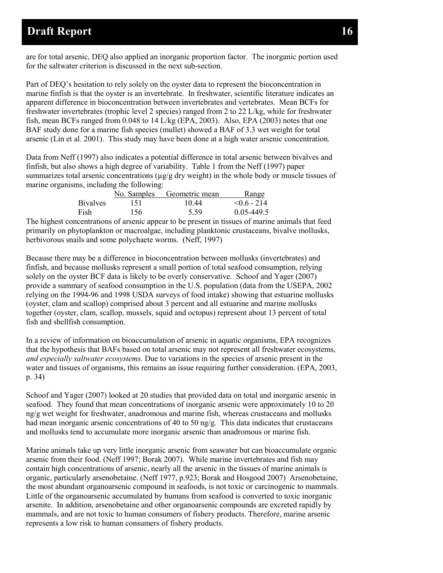are for total arsenic, DEQ also applied an inorganic proportion factor. The inorganic portion used for the saltwater criterion is discussed in the next sub-section.

Part of DEQ's hesitation to rely solely on the oyster data to represent the bioconcentration in marine finfish is that the oyster is an invertebrate. In freshwater, scientific literature indicates an apparent difference in bioconcentration between invertebrates and vertebrates. Mean BCFs for freshwater invertebrates (trophic level 2 species) ranged from 2 to 22 L/kg, while for freshwater fish, mean BCFs ranged from 0.048 to 14 L/kg (EPA, 2003). Also, EPA (2003) notes that one BAF study done for a marine fish species (mullet) showed a BAF of 3.3 wet weight for total arsenic (Lin et al. 2001). This study may have been done at a high water arsenic concentration.

Data from Neff (1997) also indicates a potential difference in total arsenic between bivalves and finfish, but also shows a high degree of variability. Table 1 from the Neff (1997) paper summarizes total arsenic concentrations ( $\mu$ g/g dry weight) in the whole body or muscle tissues of marine organisms, including the following:

|                 | No. Samples | Geometric mean | <u>Range</u>  |
|-----------------|-------------|----------------|---------------|
| <b>Bivalves</b> | 151         | 10.44          | $< 0.6 - 214$ |
| Fish            | 156         | 5.59           | 0.05-449.5    |

The highest concentrations of arsenic appear to be present in tissues of marine animals that feed primarily on phytoplankton or macroalgae, including planktonic crustaceans, bivalve mollusks, herbivorous snails and some polychaete worms. (Neff, 1997)

Because there may be a difference in bioconcentration between mollusks (invertebrates) and finfish, and because mollusks represent a small portion of total seafood consumption, relying solely on the oyster BCF data is likely to be overly conservative. Schoof and Yager (2007) provide a summary of seafood consumption in the U.S. population (data from the USEPA, 2002 relying on the 1994-96 and 1998 USDA surveys of food intake) showing that estuarine mollusks (oyster, clam and scallop) comprised about 3 percent and all estuarine and marine mollusks together (oyster, clam, scallop, mussels, squid and octopus) represent about 13 percent of total fish and shellfish consumption.

In a review of information on bioaccumulation of arsenic in aquatic organisms, EPA recognizes that the hypothesis that BAFs based on total arsenic may not represent all freshwater ecosystems, *and especially saltwater ecosystems.* Due to variations in the species of arsenic present in the water and tissues of organisms, this remains an issue requiring further consideration. (EPA, 2003, p. 34)

Schoof and Yager (2007) looked at 20 studies that provided data on total and inorganic arsenic in seafood. They found that mean concentrations of inorganic arsenic were approximately 10 to 20 ng/g wet weight for freshwater, anadromous and marine fish, whereas crustaceans and mollusks had mean inorganic arsenic concentrations of 40 to 50 ng/g. This data indicates that crustaceans and mollusks tend to accumulate more inorganic arsenic than anadromous or marine fish.

Marine animals take up very little inorganic arsenic from seawater but can bioaccumulate organic arsenic from their food. (Neff 1997; Borak 2007). While marine invertebrates and fish may contain high concentrations of arsenic, nearly all the arsenic in the tissues of marine animals is organic, particularly arsenobetaine. (Neff 1977, p.923; Borak and Hosgood 2007) Arsenobetaine, the most abundant organoarsenic compound in seafoods, is not toxic or carcinogenic to mammals. Little of the organoarsenic accumulated by humans from seafood is converted to toxic inorganic arsenite. In addition, arsenobetaine and other organoarsenic compounds are excreted rapidly by mammals, and are not toxic to human consumers of fishery products. Therefore, marine arsenic represents a low risk to human consumers of fishery products.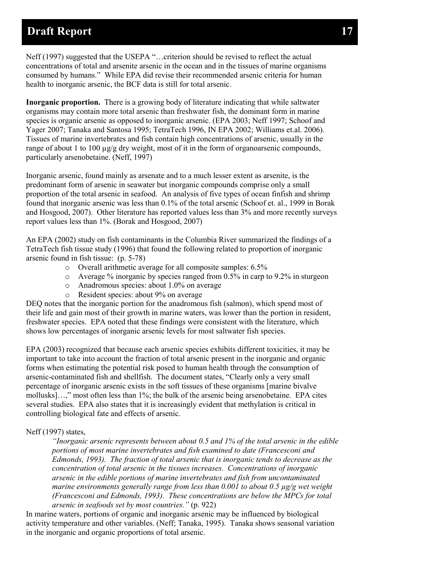Neff (1997) suggested that the USEPA "…criterion should be revised to reflect the actual concentrations of total and arsenite arsenic in the ocean and in the tissues of marine organisms consumed by humans." While EPA did revise their recommended arsenic criteria for human health to inorganic arsenic, the BCF data is still for total arsenic.

**Inorganic proportion.** There is a growing body of literature indicating that while saltwater organisms may contain more total arsenic than freshwater fish, the dominant form in marine species is organic arsenic as opposed to inorganic arsenic. (EPA 2003; Neff 1997; Schoof and Yager 2007; Tanaka and Santosa 1995; TetraTech 1996, IN EPA 2002; Williams et.al. 2006). Tissues of marine invertebrates and fish contain high concentrations of arsenic, usually in the range of about 1 to 100  $\mu$ g/g dry weight, most of it in the form of organoarsenic compounds, particularly arsenobetaine. (Neff, 1997)

Inorganic arsenic, found mainly as arsenate and to a much lesser extent as arsenite, is the predominant form of arsenic in seawater but inorganic compounds comprise only a small proportion of the total arsenic in seafood. An analysis of five types of ocean finfish and shrimp found that inorganic arsenic was less than 0.1% of the total arsenic (Schoof et. al., 1999 in Borak and Hosgood, 2007). Other literature has reported values less than 3% and more recently surveys report values less than 1%. (Borak and Hosgood, 2007)

An EPA (2002) study on fish contaminants in the Columbia River summarized the findings of a TetraTech fish tissue study (1996) that found the following related to proportion of inorganic arsenic found in fish tissue: (p. 5-78)

- o Overall arithmetic average for all composite samples: 6.5%
- o Average % inorganic by species ranged from 0.5% in carp to 9.2% in sturgeon
- o Anadromous species: about 1.0% on average
- o Resident species: about 9% on average

DEQ notes that the inorganic portion for the anadromous fish (salmon), which spend most of their life and gain most of their growth in marine waters, was lower than the portion in resident, freshwater species. EPA noted that these findings were consistent with the literature, which shows low percentages of inorganic arsenic levels for most saltwater fish species.

EPA (2003) recognized that because each arsenic species exhibits different toxicities, it may be important to take into account the fraction of total arsenic present in the inorganic and organic forms when estimating the potential risk posed to human health through the consumption of arsenic-contaminated fish and shellfish. The document states, "Clearly only a very small percentage of inorganic arsenic exists in the soft tissues of these organisms [marine bivalve mollusks]…," most often less than 1%; the bulk of the arsenic being arsenobetaine. EPA cites several studies. EPA also states that it is increasingly evident that methylation is critical in controlling biological fate and effects of arsenic.

#### Neff (1997) states,

*"Inorganic arsenic represents between about 0.5 and 1% of the total arsenic in the edible portions of most marine invertebrates and fish examined to date (Francesconi and Edmonds, 1993). The fraction of total arsenic that is inorganic tends to decrease as the concentration of total arsenic in the tissues increases. Concentrations of inorganic arsenic in the edible portions of marine invertebrates and fish from uncontaminated marine environments generally range from less than 0.001 to about 0.5 µg/g wet weight (Francesconi and Edmonds, 1993). These concentrations are below the MPCs for total arsenic in seafoods set by most countries."* (p. 922)

In marine waters, portions of organic and inorganic arsenic may be influenced by biological activity temperature and other variables. (Neff; Tanaka, 1995). Tanaka shows seasonal variation in the inorganic and organic proportions of total arsenic.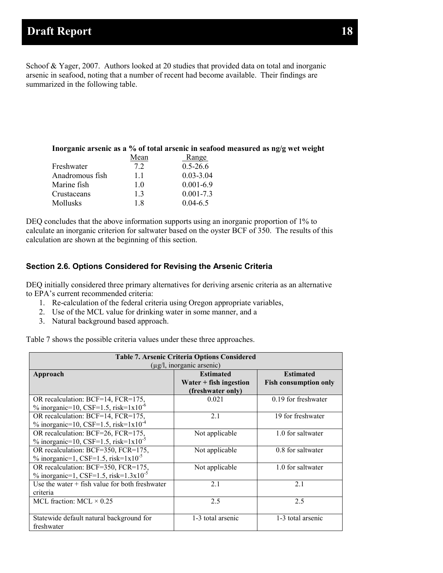Schoof & Yager, 2007. Authors looked at 20 studies that provided data on total and inorganic arsenic in seafood, noting that a number of recent had become available. Their findings are summarized in the following table.

| Inorganic arsenic as a % of total arsenic in seafood measured as ng/g wet weight |      |               |  |
|----------------------------------------------------------------------------------|------|---------------|--|
|                                                                                  | Mean | Range         |  |
| Freshwater                                                                       | 7.2  | $0.5 - 26.6$  |  |
| Anadromous fish                                                                  | 11   | $0.03 - 3.04$ |  |
| Marine fish                                                                      | 10   | $0.001 - 6.9$ |  |
| Crustaceans                                                                      | 13   | $0.001 - 7.3$ |  |
| <b>Mollusks</b>                                                                  | 1.8  | $0.04 - 6.5$  |  |

DEQ concludes that the above information supports using an inorganic proportion of 1% to calculate an inorganic criterion for saltwater based on the oyster BCF of 350. The results of this calculation are shown at the beginning of this section.

#### <span id="page-20-0"></span>**Section 2.6. Options Considered for Revising the Arsenic Criteria**

DEQ initially considered three primary alternatives for deriving arsenic criteria as an alternative to EPA's current recommended criteria:

- 1. Re-calculation of the federal criteria using Oregon appropriate variables,
- 2. Use of the MCL value for drinking water in some manner, and a
- 3. Natural background based approach.

Table 7 shows the possible criteria values under these three approaches.

| <b>Table 7. Arsenic Criteria Options Considered</b><br>$(\mu g/l,$ inorganic arsenic)     |                                                                   |                                                  |  |
|-------------------------------------------------------------------------------------------|-------------------------------------------------------------------|--------------------------------------------------|--|
| Approach                                                                                  | <b>Estimated</b><br>Water $+$ fish ingestion<br>(freshwater only) | <b>Estimated</b><br><b>Fish consumption only</b> |  |
| OR recalculation: BCF=14, FCR=175,<br>% inorganic=10, CSF=1.5, risk= $1x10^{-6}$          | 0.021                                                             | 0.19 for freshwater                              |  |
| OR recalculation: BCF=14, FCR=175,<br>% inorganic=10, CSF=1.5, risk= $1x10^{-4}$          | 2.1                                                               | 19 for freshwater                                |  |
| OR recalculation: BCF=26, FCR=175,<br>% inorganic=10, CSF=1.5, risk= $1x10^{-5}$          | Not applicable                                                    | 1.0 for saltwater                                |  |
| OR recalculation: BCF=350, FCR=175,<br>% inorganic=1, CSF=1.5, risk= $1x10^{-5}$          | Not applicable                                                    | 0.8 for saltwater                                |  |
| OR recalculation: BCF=350, FCR=175,<br>% inorganic=1, CSF=1.5, risk= $1.3 \times 10^{-5}$ | Not applicable                                                    | 1.0 for saltwater                                |  |
| Use the water $+$ fish value for both freshwater<br>criteria                              | 2.1                                                               | 2.1                                              |  |
| MCL fraction: $MCL \times 0.25$                                                           | 2.5                                                               | 2.5                                              |  |
| Statewide default natural background for<br>freshwater                                    | 1-3 total arsenic                                                 | 1-3 total arsenic                                |  |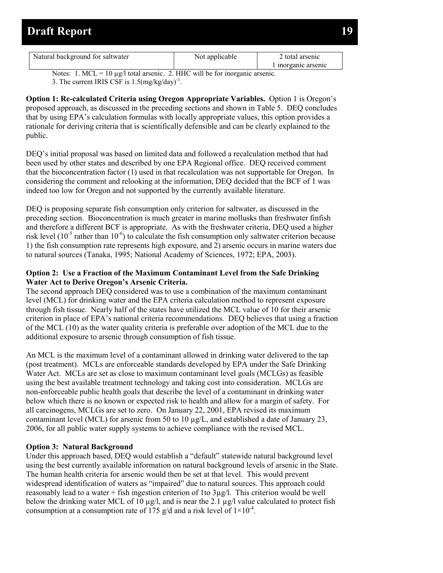| Natural background for saltwater | Not applicable | 2 total arsenic   |
|----------------------------------|----------------|-------------------|
|                                  |                | inorganic arsenic |

Notes: 1. MCL = 10  $\mu$ g/l total arsenic. 2. HHC will be for inorganic arsenic. 3. The current IRIS CSF is  $1.5 \text{(mg/kg/day)}^{-1}$ .

**Option 1: Re-calculated Criteria using Oregon Appropriate Variables.** Option 1 is Oregon's proposed approach, as discussed in the preceding sections and shown in Table 5. DEQ concludes that by using EPA's calculation formulas with locally appropriate values, this option provides a rationale for deriving criteria that is scientifically defensible and can be clearly explained to the public.

DEQ's initial proposal was based on limited data and followed a recalculation method that had been used by other states and described by one EPA Regional office. DEQ received comment that the bioconcentration factor (1) used in that recalculation was not supportable for Oregon. In considering the comment and relooking at the information, DEQ decided that the BCF of 1 was indeed too low for Oregon and not supported by the currently available literature.

DEQ is proposing separate fish consumption only criterion for saltwater, as discussed in the preceding section. Bioconcentration is much greater in marine mollusks than freshwater finfish and therefore a different BCF is appropriate. As with the freshwater criteria, DEQ used a higher risk level  $(10^{-5}$  rather than  $10^{-6}$ ) to calculate the fish consumption only saltwater criterion because 1) the fish consumption rate represents high exposure, and 2) arsenic occurs in marine waters due to natural sources (Tanaka, 1995; National Academy of Sciences, 1972; EPA, 2003).

#### **Option 2: Use a Fraction of the Maximum Contaminant Level from the Safe Drinking Water Act to Derive Oregon's Arsenic Criteria.**

The second approach DEQ considered was to use a combination of the maximum contaminant level (MCL) for drinking water and the EPA criteria calculation method to represent exposure through fish tissue. Nearly half of the states have utilized the MCL value of 10 for their arsenic criterion in place of EPA's national criteria recommendations. DEQ believes that using a fraction of the MCL (10) as the water quality criteria is preferable over adoption of the MCL due to the additional exposure to arsenic through consumption of fish tissue.

An MCL is the maximum level of a contaminant allowed in drinking water delivered to the tap (post treatment). MCLs are enforceable standards developed by EPA under the Safe Drinking Water Act. MCLs are set as close to maximum contaminant level goals (MCLGs) as feasible using the best available treatment technology and taking cost into consideration. MCLGs are non-enforceable public health goals that describe the level of a contaminant in drinking water below which there is no known or expected risk to health and allow for a margin of safety. For all carcinogens, MCLGs are set to zero. On January 22, 2001, EPA revised its maximum contaminant level (MCL) for arsenic from 50 to 10 µg/L, and established a date of January 23, 2006, for all public water supply systems to achieve compliance with the revised MCL.

#### **Option 3: Natural Background**

Under this approach based, DEQ would establish a "default" statewide natural background level using the best currently available information on natural background levels of arsenic in the State. The human health criteria for arsenic would then be set at that level. This would prevent widespread identification of waters as "impaired" due to natural sources. This approach could reasonably lead to a water + fish ingestion criterion of 1to 3µg/l. This criterion would be well below the drinking water MCL of 10 µg/l, and is near the 2.1 µg/l value calculated to protect fish consumption at a consumption rate of 175 g/d and a risk level of  $1 \times 10^{-4}$ .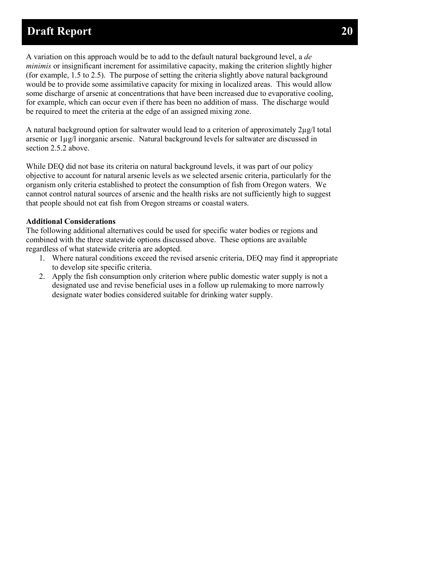A variation on this approach would be to add to the default natural background level, a *de minimis* or insignificant increment for assimilative capacity, making the criterion slightly higher (for example, 1.5 to 2.5). The purpose of setting the criteria slightly above natural background would be to provide some assimilative capacity for mixing in localized areas. This would allow some discharge of arsenic at concentrations that have been increased due to evaporative cooling, for example, which can occur even if there has been no addition of mass. The discharge would be required to meet the criteria at the edge of an assigned mixing zone.

A natural background option for saltwater would lead to a criterion of approximately 2µg/l total arsenic or 1µg/l inorganic arsenic. Natural background levels for saltwater are discussed in section 2.5.2 above.

While DEQ did not base its criteria on natural background levels, it was part of our policy objective to account for natural arsenic levels as we selected arsenic criteria, particularly for the organism only criteria established to protect the consumption of fish from Oregon waters. We cannot control natural sources of arsenic and the health risks are not sufficiently high to suggest that people should not eat fish from Oregon streams or coastal waters.

#### **Additional Considerations**

The following additional alternatives could be used for specific water bodies or regions and combined with the three statewide options discussed above. These options are available regardless of what statewide criteria are adopted.

- 1. Where natural conditions exceed the revised arsenic criteria, DEQ may find it appropriate to develop site specific criteria.
- 2. Apply the fish consumption only criterion where public domestic water supply is not a designated use and revise beneficial uses in a follow up rulemaking to more narrowly designate water bodies considered suitable for drinking water supply.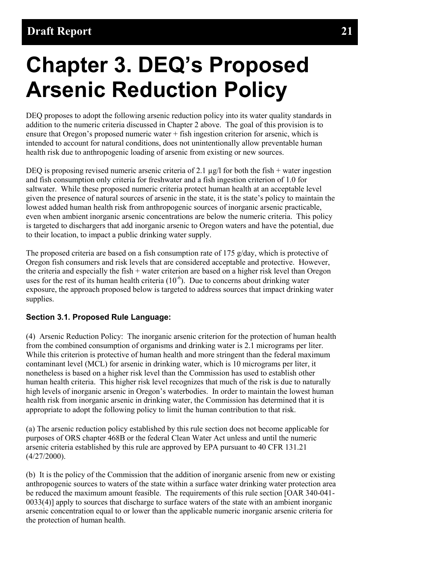# <span id="page-23-0"></span>**Chapter 3. DEQ's Proposed Arsenic Reduction Policy**

DEQ proposes to adopt the following arsenic reduction policy into its water quality standards in addition to the numeric criteria discussed in Chapter 2 above. The goal of this provision is to ensure that Oregon's proposed numeric water + fish ingestion criterion for arsenic, which is intended to account for natural conditions, does not unintentionally allow preventable human health risk due to anthropogenic loading of arsenic from existing or new sources.

DEQ is proposing revised numeric arsenic criteria of 2.1  $\mu$ g/l for both the fish + water ingestion and fish consumption only criteria for freshwater and a fish ingestion criterion of 1.0 for saltwater. While these proposed numeric criteria protect human health at an acceptable level given the presence of natural sources of arsenic in the state, it is the state's policy to maintain the lowest added human health risk from anthropogenic sources of inorganic arsenic practicable, even when ambient inorganic arsenic concentrations are below the numeric criteria. This policy is targeted to dischargers that add inorganic arsenic to Oregon waters and have the potential, due to their location, to impact a public drinking water supply.

The proposed criteria are based on a fish consumption rate of 175  $g$ /day, which is protective of Oregon fish consumers and risk levels that are considered acceptable and protective. However, the criteria and especially the fish + water criterion are based on a higher risk level than Oregon uses for the rest of its human health criteria  $(10<sup>-6</sup>)$ . Due to concerns about drinking water exposure, the approach proposed below is targeted to address sources that impact drinking water supplies.

### <span id="page-23-1"></span>**Section 3.1. Proposed Rule Language:**

(4) Arsenic Reduction Policy: The inorganic arsenic criterion for the protection of human health from the combined consumption of organisms and drinking water is 2.1 micrograms per liter. While this criterion is protective of human health and more stringent than the federal maximum contaminant level (MCL) for arsenic in drinking water, which is 10 micrograms per liter, it nonetheless is based on a higher risk level than the Commission has used to establish other human health criteria. This higher risk level recognizes that much of the risk is due to naturally high levels of inorganic arsenic in Oregon's waterbodies. In order to maintain the lowest human health risk from inorganic arsenic in drinking water, the Commission has determined that it is appropriate to adopt the following policy to limit the human contribution to that risk.

(a) The arsenic reduction policy established by this rule section does not become applicable for purposes of ORS chapter 468B or the federal Clean Water Act unless and until the numeric arsenic criteria established by this rule are approved by EPA pursuant to 40 CFR 131.21  $(4/27/2000)$ .

(b) It is the policy of the Commission that the addition of inorganic arsenic from new or existing anthropogenic sources to waters of the state within a surface water drinking water protection area be reduced the maximum amount feasible. The requirements of this rule section [OAR 340-041- 0033(4)] apply to sources that discharge to surface waters of the state with an ambient inorganic arsenic concentration equal to or lower than the applicable numeric inorganic arsenic criteria for the protection of human health.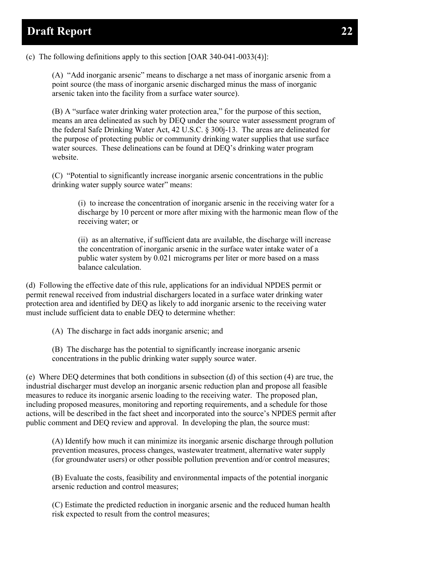(c) The following definitions apply to this section [OAR 340-041-0033(4)]:

(A) "Add inorganic arsenic" means to discharge a net mass of inorganic arsenic from a point source (the mass of inorganic arsenic discharged minus the mass of inorganic arsenic taken into the facility from a surface water source).

(B) A "surface water drinking water protection area," for the purpose of this section, means an area delineated as such by DEQ under the source water assessment program of the federal Safe Drinking Water Act, 42 U.S.C. § 300j-13. The areas are delineated for the purpose of protecting public or community drinking water supplies that use surface water sources. These delineations can be found at DEQ's drinking water program website.

(C) "Potential to significantly increase inorganic arsenic concentrations in the public drinking water supply source water" means:

(i) to increase the concentration of inorganic arsenic in the receiving water for a discharge by 10 percent or more after mixing with the harmonic mean flow of the receiving water; or

(ii) as an alternative, if sufficient data are available, the discharge will increase the concentration of inorganic arsenic in the surface water intake water of a public water system by 0.021 micrograms per liter or more based on a mass balance calculation.

(d) Following the effective date of this rule, applications for an individual NPDES permit or permit renewal received from industrial dischargers located in a surface water drinking water protection area and identified by DEQ as likely to add inorganic arsenic to the receiving water must include sufficient data to enable DEQ to determine whether:

(A) The discharge in fact adds inorganic arsenic; and

(B) The discharge has the potential to significantly increase inorganic arsenic concentrations in the public drinking water supply source water.

(e) Where DEQ determines that both conditions in subsection (d) of this section (4) are true, the industrial discharger must develop an inorganic arsenic reduction plan and propose all feasible measures to reduce its inorganic arsenic loading to the receiving water. The proposed plan, including proposed measures, monitoring and reporting requirements, and a schedule for those actions, will be described in the fact sheet and incorporated into the source's NPDES permit after public comment and DEQ review and approval. In developing the plan, the source must:

(A) Identify how much it can minimize its inorganic arsenic discharge through pollution prevention measures, process changes, wastewater treatment, alternative water supply (for groundwater users) or other possible pollution prevention and/or control measures;

(B) Evaluate the costs, feasibility and environmental impacts of the potential inorganic arsenic reduction and control measures;

(C) Estimate the predicted reduction in inorganic arsenic and the reduced human health risk expected to result from the control measures;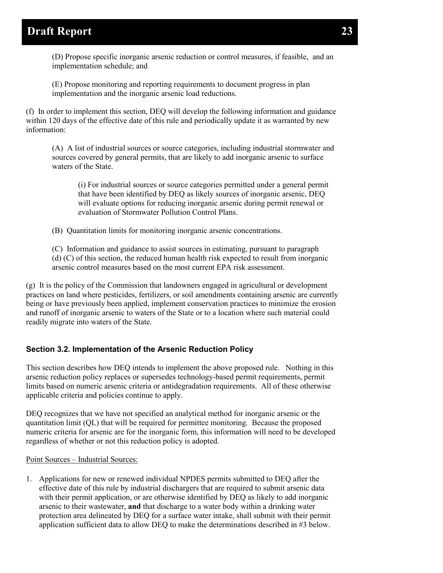(D) Propose specific inorganic arsenic reduction or control measures, if feasible, and an implementation schedule; and

(E) Propose monitoring and reporting requirements to document progress in plan implementation and the inorganic arsenic load reductions.

(f) In order to implement this section, DEQ will develop the following information and guidance within 120 days of the effective date of this rule and periodically update it as warranted by new information:

(A) A list of industrial sources or source categories, including industrial stormwater and sources covered by general permits, that are likely to add inorganic arsenic to surface waters of the State.

(i) For industrial sources or source categories permitted under a general permit that have been identified by DEQ as likely sources of inorganic arsenic, DEQ will evaluate options for reducing inorganic arsenic during permit renewal or evaluation of Stormwater Pollution Control Plans.

(B) Quantitation limits for monitoring inorganic arsenic concentrations.

(C) Information and guidance to assist sources in estimating, pursuant to paragraph (d) (C) of this section, the reduced human health risk expected to result from inorganic arsenic control measures based on the most current EPA risk assessment.

(g) It is the policy of the Commission that landowners engaged in agricultural or development practices on land where pesticides, fertilizers, or soil amendments containing arsenic are currently being or have previously been applied, implement conservation practices to minimize the erosion and runoff of inorganic arsenic to waters of the State or to a location where such material could readily migrate into waters of the State.

### <span id="page-25-0"></span>**Section 3.2. Implementation of the Arsenic Reduction Policy**

This section describes how DEQ intends to implement the above proposed rule. Nothing in this arsenic reduction policy replaces or supersedes technology-based permit requirements, permit limits based on numeric arsenic criteria or antidegradation requirements. All of these otherwise applicable criteria and policies continue to apply.

DEQ recognizes that we have not specified an analytical method for inorganic arsenic or the quantitation limit (QL) that will be required for permittee monitoring. Because the proposed numeric criteria for arsenic are for the inorganic form, this information will need to be developed regardless of whether or not this reduction policy is adopted.

#### Point Sources – Industrial Sources:

1. Applications for new or renewed individual NPDES permits submitted to DEQ after the effective date of this rule by industrial dischargers that are required to submit arsenic data with their permit application, or are otherwise identified by DEQ as likely to add inorganic arsenic to their wastewater, **and** that discharge to a water body within a drinking water protection area delineated by DEQ for a surface water intake, shall submit with their permit application sufficient data to allow DEQ to make the determinations described in #3 below.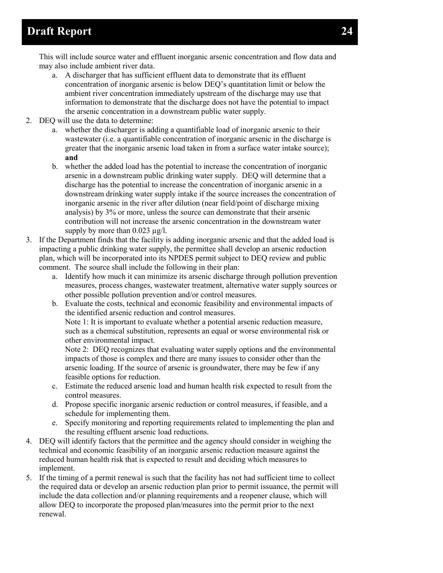This will include source water and effluent inorganic arsenic concentration and flow data and may also include ambient river data.

- a. A discharger that has sufficient effluent data to demonstrate that its effluent concentration of inorganic arsenic is below DEQ's quantitation limit or below the ambient river concentration immediately upstream of the discharge may use that information to demonstrate that the discharge does not have the potential to impact the arsenic concentration in a downstream public water supply.
- 2. DEQ will use the data to determine:
	- a. whether the discharger is adding a quantifiable load of inorganic arsenic to their wastewater (i.e. a quantifiable concentration of inorganic arsenic in the discharge is greater that the inorganic arsenic load taken in from a surface water intake source); **and**
	- b. whether the added load has the potential to increase the concentration of inorganic arsenic in a downstream public drinking water supply. DEQ will determine that a discharge has the potential to increase the concentration of inorganic arsenic in a downstream drinking water supply intake if the source increases the concentration of inorganic arsenic in the river after dilution (near field/point of discharge mixing analysis) by 3% or more, unless the source can demonstrate that their arsenic contribution will not increase the arsenic concentration in the downstream water supply by more than  $0.023 \mu g/l$ .
- 3. If the Department finds that the facility is adding inorganic arsenic and that the added load is impacting a public drinking water supply, the permittee shall develop an arsenic reduction plan, which will be incorporated into its NPDES permit subject to DEQ review and public comment. The source shall include the following in their plan:
	- a. Identify how much it can minimize its arsenic discharge through pollution prevention measures, process changes, wastewater treatment, alternative water supply sources or other possible pollution prevention and/or control measures.
	- b. Evaluate the costs, technical and economic feasibility and environmental impacts of the identified arsenic reduction and control measures. Note 1: It is important to evaluate whether a potential arsenic reduction measure, such as a chemical substitution, represents an equal or worse environmental risk or other environmental impact.

Note 2: DEQ recognizes that evaluating water supply options and the environmental impacts of those is complex and there are many issues to consider other than the arsenic loading. If the source of arsenic is groundwater, there may be few if any feasible options for reduction.

- c. Estimate the reduced arsenic load and human health risk expected to result from the control measures.
- d. Propose specific inorganic arsenic reduction or control measures, if feasible, and a schedule for implementing them.
- e. Specify monitoring and reporting requirements related to implementing the plan and the resulting effluent arsenic load reductions.
- 4. DEQ will identify factors that the permittee and the agency should consider in weighing the technical and economic feasibility of an inorganic arsenic reduction measure against the reduced human health risk that is expected to result and deciding which measures to implement.
- 5. If the timing of a permit renewal is such that the facility has not had sufficient time to collect the required data or develop an arsenic reduction plan prior to permit issuance, the permit will include the data collection and/or planning requirements and a reopener clause, which will allow DEQ to incorporate the proposed plan/measures into the permit prior to the next renewal.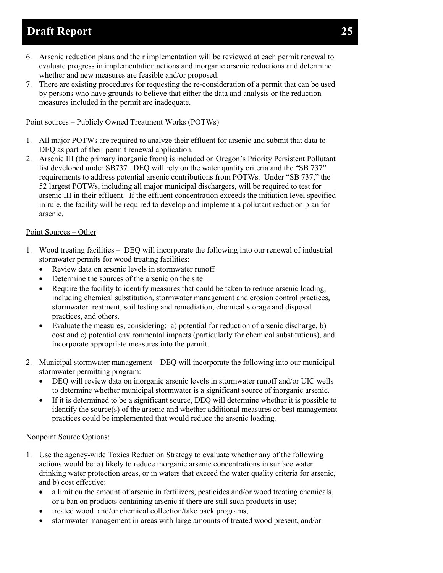- 6. Arsenic reduction plans and their implementation will be reviewed at each permit renewal to evaluate progress in implementation actions and inorganic arsenic reductions and determine whether and new measures are feasible and/or proposed.
- 7. There are existing procedures for requesting the re-consideration of a permit that can be used by persons who have grounds to believe that either the data and analysis or the reduction measures included in the permit are inadequate.

#### Point sources – Publicly Owned Treatment Works (POTWs)

- 1. All major POTWs are required to analyze their effluent for arsenic and submit that data to DEQ as part of their permit renewal application.
- 2. Arsenic III (the primary inorganic from) is included on Oregon's Priority Persistent Pollutant list developed under SB737. DEQ will rely on the water quality criteria and the "SB 737" requirements to address potential arsenic contributions from POTWs. Under "SB 737," the 52 largest POTWs, including all major municipal dischargers, will be required to test for arsenic III in their effluent. If the effluent concentration exceeds the initiation level specified in rule, the facility will be required to develop and implement a pollutant reduction plan for arsenic.

#### Point Sources – Other

- 1. Wood treating facilities DEQ will incorporate the following into our renewal of industrial stormwater permits for wood treating facilities:
	- Review data on arsenic levels in stormwater runoff
	- Determine the sources of the arsenic on the site
	- Require the facility to identify measures that could be taken to reduce arsenic loading, including chemical substitution, stormwater management and erosion control practices, stormwater treatment, soil testing and remediation, chemical storage and disposal practices, and others.
	- Evaluate the measures, considering: a) potential for reduction of arsenic discharge, b) cost and c) potential environmental impacts (particularly for chemical substitutions), and incorporate appropriate measures into the permit.
- 2. Municipal stormwater management DEQ will incorporate the following into our municipal stormwater permitting program:
	- DEQ will review data on inorganic arsenic levels in stormwater runoff and/or UIC wells to determine whether municipal stormwater is a significant source of inorganic arsenic.
	- If it is determined to be a significant source, DEQ will determine whether it is possible to identify the source(s) of the arsenic and whether additional measures or best management practices could be implemented that would reduce the arsenic loading.

#### Nonpoint Source Options:

- 1. Use the agency-wide Toxics Reduction Strategy to evaluate whether any of the following actions would be: a) likely to reduce inorganic arsenic concentrations in surface water drinking water protection areas, or in waters that exceed the water quality criteria for arsenic, and b) cost effective:
	- a limit on the amount of arsenic in fertilizers, pesticides and/or wood treating chemicals, or a ban on products containing arsenic if there are still such products in use;
	- treated wood and/or chemical collection/take back programs,
	- stormwater management in areas with large amounts of treated wood present, and/or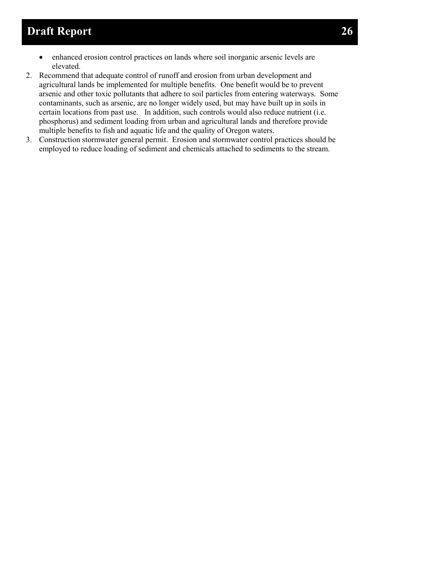- enhanced erosion control practices on lands where soil inorganic arsenic levels are elevated.
- 2. Recommend that adequate control of runoff and erosion from urban development and agricultural lands be implemented for multiple benefits. One benefit would be to prevent arsenic and other toxic pollutants that adhere to soil particles from entering waterways. Some contaminants, such as arsenic, are no longer widely used, but may have built up in soils in certain locations from past use. In addition, such controls would also reduce nutrient (i.e. phosphorus) and sediment loading from urban and agricultural lands and therefore provide multiple benefits to fish and aquatic life and the quality of Oregon waters.
- 3. Construction stormwater general permit. Erosion and stormwater control practices should be employed to reduce loading of sediment and chemicals attached to sediments to the stream.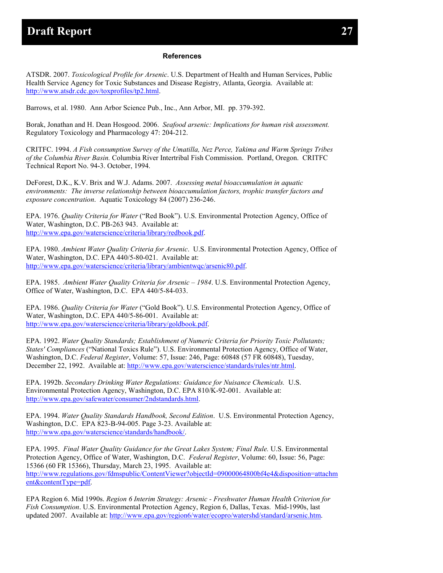#### **References**

ATSDR. 2007. *Toxicological Profile for Arsenic*. U.S. Department of Health and Human Services, Public Health Service Agency for Toxic Substances and Disease Registry, Atlanta, Georgia. Available at: [http://www.atsdr.cdc.gov/toxprofiles/tp2.html.](http://www.atsdr.cdc.gov/toxprofiles/tp2.html)

Barrows, et al. 1980. Ann Arbor Science Pub., Inc., Ann Arbor, MI. pp. 379-392.

Borak, Jonathan and H. Dean Hosgood. 2006. *Seafood arsenic: Implications for human risk assessment.* Regulatory Toxicology and Pharmacology 47: 204-212.

CRITFC. 1994. *A Fish consumption Survey of the Umatilla, Nez Perce, Yakima and Warm Springs Tribes of the Columbia River Basin.* Columbia River Intertribal Fish Commission. Portland, Oregon. CRITFC Technical Report No. 94-3. October, 1994.

DeForest, D.K., K.V. Brix and W.J. Adams. 2007. *Assessing metal bioaccumulation in aquatic environments: The inverse relationship between bioaccumulation factors, trophic transfer factors and exposure concentration*. Aquatic Toxicology 84 (2007) 236-246.

EPA. 1976. *Quality Criteria for Water* ("Red Book"). U.S. Environmental Protection Agency, Office of Water, Washington, D.C. PB-263 943. Available at: [http://www.epa.gov/waterscience/criteria/library/redbook.pdf.](http://www.epa.gov/waterscience/criteria/library/redbook.pdf)

EPA. 1980. *Ambient Water Quality Criteria for Arsenic*. U.S. Environmental Protection Agency, Office of Water, Washington, D.C. EPA 440/5-80-021. Available at: [http://www.epa.gov/waterscience/criteria/library/ambientwqc/arsenic80.pdf.](http://www.epa.gov/waterscience/criteria/library/ambientwqc/arsenic80.pdf)

EPA. 1985. *Ambient Water Quality Criteria for Arsenic – 1984*. U.S. Environmental Protection Agency, Office of Water, Washington, D.C. EPA 440/5-84-033.

EPA. 1986. *Quality Criteria for Water* ("Gold Book"). U.S. Environmental Protection Agency, Office of Water, Washington, D.C. EPA 440/5-86-001. Available at: [http://www.epa.gov/waterscience/criteria/library/goldbook.pdf.](http://www.epa.gov/waterscience/criteria/library/goldbook.pdf)

EPA. 1992. *Water Quality Standards; Establishment of Numeric Criteria for Priority Toxic Pollutants; States' Compliances* ("National Toxics Rule"). U.S. Environmental Protection Agency, Office of Water, Washington, D.C. *Federal Register*, Volume: 57, Issue: 246, Page: 60848 (57 FR 60848), Tuesday, December 22, 1992. Available at: [http://www.epa.gov/waterscience/standards/rules/ntr.html.](http://www.epa.gov/waterscience/standards/rules/ntr.html)

EPA. 1992b. *Secondary Drinking Water Regulations: Guidance for Nuisance Chemicals.* U.S. Environmental Protection Agency, Washington, D.C. EPA 810/K-92-001. Available at: [http://www.epa.gov/safewater/consumer/2ndstandards.html.](http://www.epa.gov/safewater/consumer/2ndstandards.html)

EPA. 1994. *Water Quality Standards Handbook, Second Edition*. U.S. Environmental Protection Agency, Washington, D.C. EPA 823-B-94-005. Page 3-23. Available at: [http://www.epa.gov/waterscience/standards/handbook/.](http://www.epa.gov/waterscience/standards/handbook/)

EPA. 1995. *Final Water Quality Guidance for the Great Lakes System; Final Rule.* U.S. Environmental Protection Agency, Office of Water, Washington, D.C. *Federal Register*, Volume: 60, Issue: 56, Page: 15366 (60 FR 15366), Thursday, March 23, 1995. Available at: [http://www.regulations.gov/fdmspublic/ContentViewer?objectId=09000064800bf4e4&disposition=attachm](http://www.regulations.gov/fdmspublic/ContentViewer?objectId=09000064800bf4e4&disposition=attachment&contentType=pdf) [ent&contentType=pdf.](http://www.regulations.gov/fdmspublic/ContentViewer?objectId=09000064800bf4e4&disposition=attachment&contentType=pdf)

EPA Region 6. Mid 1990s. *Region 6 Interim Strategy: Arsenic - Freshwater Human Health Criterion for Fish Consumption*. U.S. Environmental Protection Agency, Region 6, Dallas, Texas. Mid-1990s, last updated 2007. Available at: [http://www.epa.gov/region6/water/ecopro/watershd/standard/arsenic.htm.](http://www.epa.gov/region6/water/ecopro/watershd/standard/arsenic.htm)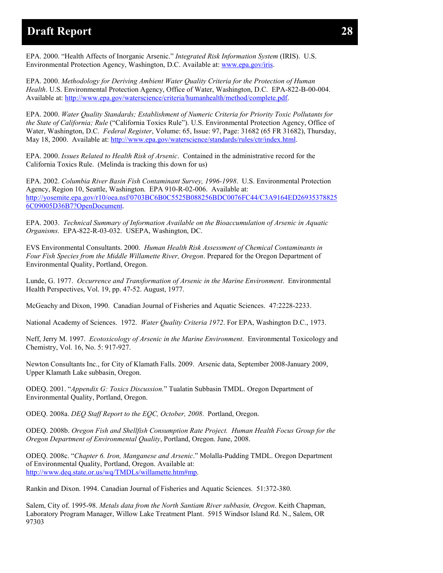EPA. 2000. "Health Affects of Inorganic Arsenic." *Integrated Risk Information System* (IRIS). U.S. Environmental Protection Agency, Washington, D.C. Available at: [www.epa.gov/iris.](http://www.epa.gov/iris)

EPA. 2000. *Methodology for Deriving Ambient Water Quality Criteria for the Protection of Human Health*. U.S. Environmental Protection Agency, Office of Water, Washington, D.C. EPA-822-B-00-004. Available at: [http://www.epa.gov/waterscience/criteria/humanhealth/method/complete.pdf.](http://www.epa.gov/waterscience/criteria/humanhealth/method/complete.pdf)

EPA. 2000. *Water Quality Standards; Establishment of Numeric Criteria for Priority Toxic Pollutants for the State of California; Rule* ("California Toxics Rule"). U.S. Environmental Protection Agency, Office of Water, Washington, D.C. *Federal Register*, Volume: 65, Issue: 97, Page: 31682 (65 FR 31682), Thursday, May 18, 2000. Available at: [http://www.epa.gov/waterscience/standards/rules/ctr/index.html.](http://www.epa.gov/waterscience/standards/rules/ctr/index.html)

EPA. 2000. *Issues Related to Health Risk of Arsenic*. Contained in the administrative record for the California Toxics Rule. (Melinda is tracking this down for us)

EPA. 2002. *Columbia River Basin Fish Contaminant Survey, 1996-1998*. U.S. Environmental Protection Agency, Region 10, Seattle, Washington. EPA 910-R-02-006. Available at: [http://yosemite.epa.gov/r10/oea.nsf/0703BC6B0C5525B088256BDC0076FC44/C3A9164ED26935378825](http://yosemite.epa.gov/r10/oea.nsf/0703BC6B0C5525B088256BDC0076FC44/C3A9164ED269353788256C09005D36B7?OpenDocument) [6C09005D36B7?OpenDocument.](http://yosemite.epa.gov/r10/oea.nsf/0703BC6B0C5525B088256BDC0076FC44/C3A9164ED269353788256C09005D36B7?OpenDocument)

EPA. 2003. *Technical Summary of Information Available on the Bioaccumulation of Arsenic in Aquatic Organisms*. EPA-822-R-03-032. USEPA, Washington, DC.

EVS Environmental Consultants. 2000. *Human Health Risk Assessment of Chemical Contaminants in Four Fish Species from the Middle Willamette River, Oregon*. Prepared for the Oregon Department of Environmental Quality, Portland, Oregon.

Lunde, G. 1977. *Occurrence and Transformation of Arsenic in the Marine Environment*. Environmental Health Perspectives, Vol. 19, pp. 47-52. August, 1977.

McGeachy and Dixon, 1990. Canadian Journal of Fisheries and Aquatic Sciences. 47:2228-2233.

National Academy of Sciences. 1972. *Water Quality Criteria 1972*. For EPA, Washington D.C., 1973.

Neff, Jerry M. 1997. *Ecotoxicology of Arsenic in the Marine Environment*. Environmental Toxicology and Chemistry, Vol. 16, No. 5: 917-927.

Newton Consultants Inc., for City of Klamath Falls. 2009. Arsenic data, September 2008-January 2009, Upper Klamath Lake subbasin, Oregon.

ODEQ. 2001. "*Appendix G: Toxics Discussion.*" Tualatin Subbasin TMDL. Oregon Department of Environmental Quality, Portland, Oregon.

ODEQ. 2008a. *DEQ Staff Report to the EQC, October, 2008*. Portland, Oregon.

ODEQ. 2008b. *Oregon Fish and Shellfish Consumption Rate Project. Human Health Focus Group for the Oregon Department of Environmental Quality*, Portland, Oregon. June, 2008.

ODEQ. 2008c. "*Chapter 6. Iron, Manganese and Arsenic*." Molalla-Pudding TMDL. Oregon Department of Environmental Quality, Portland, Oregon. Available at: [http://www.deq.state.or.us/wq/TMDLs/willamette.htm#mp.](http://www.deq.state.or.us/wq/TMDLs/willamette.htm#mp)

Rankin and Dixon. 1994. Canadian Journal of Fisheries and Aquatic Sciences. 51:372-380.

Salem, City of. 1995-98. *Metals data from the North Santiam River subbasin, Oregon*. Keith Chapman, Laboratory Program Manager, Willow Lake Treatment Plant. 5915 Windsor Island Rd. N., Salem, OR 97303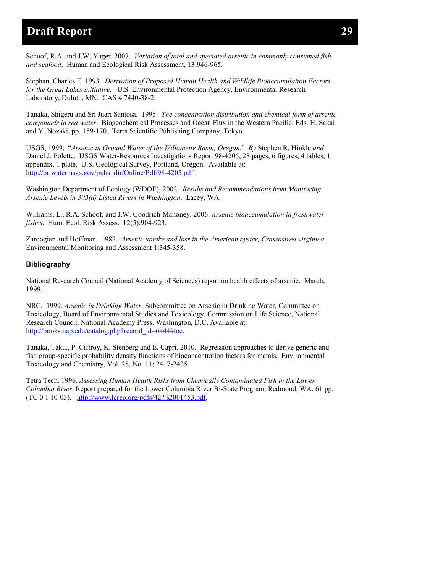Schoof, R.A. and J.W. Yager. 2007. *Variation of total and speciated arsenic in commonly consumed fish and seafood*. Human and Ecological Risk Assessment, 13:946-965.

Stephan, Charles E. 1993. *Derivation of Proposed Human Health and Wildlife Bioaccumulation Factors for the Great Lakes initiative.* U.S. Environmental Protection Agency, Environmental Research Laboratory, Duluth, MN. CAS # 7440-38-2.

Tanaka, Shigeru and Sri Juari Santosa. 1995. *The concentration distribution and chemical form of arsenic compounds in sea water*. Biogeochemical Processes and Ocean Flux in the Western Pacific, Eds. H. Sakai and Y. Nozaki, pp. 159-170. Terra Scientific Publishing Company, Tokyo.

USGS, 1999. "*Arsenic in Ground Water of the Willamette Basin, Oregon*." *By* Stephen R. Hinkle *and* Daniel J. Polette. USGS Water-Resources Investigations Report 98-4205, 28 pages, 6 figures, 4 tables, 1 appendix, 1 plate. U.S. Geological Survey, Portland, Oregon. Available at: [http://or.water.usgs.gov/pubs\\_dir/Online/Pdf/98-4205.pdf.](http://or.water.usgs.gov/pubs_dir/Online/Pdf/98-4205.pdf)

Washington Department of Ecology (WDOE), 2002. *Results and Recommendations from Monitoring Arsenic Levels in 303(d) Listed Rivers in Washington*. Lacey, WA.

Williams, L., R.A. Schoof, and J.W. Goodrich-Mahoney. 2006. *Arsenic bioaccumulation in freshwater fishes*. Hum. Ecol. Risk Assess. 12(5):904-923.

Zaroogian and Hoffman. 1982. *Arsenic uptake and loss in the American oyster, Crassostrea virginica.*  Environmental Monitoring and Assessment 1:345-358.

#### **Bibliography**

National Research Council (National Academy of Sciences) report on health effects of arsenic. March, 1999.

NRC. 1999. *Arsenic in Drinking Water*. Subcommittee on Arsenic in Drinking Water, Committee on Toxicology, Board of Environmental Studies and Toxicology, Commission on Life Science, National Research Council, National Academy Press. Washington, D.C. Available at: [http://books.nap.edu/catalog.php?record\\_id=6444#toc.](http://books.nap.edu/catalog.php?record_id=6444#toc)

Tanaka, Taku., P. Ciffroy, K. Stenberg and E. Capri. 2010. Regression approaches to derive generic and fish group-specific probability density functions of bioconcentration factors for metals. Environmental Toxicology and Chemistry, Vol. 28, No. 11: 2417-2425.

Tetra Tech. 1996. *Assessing Human Health Risks from Chemically Contaminated Fish in the Lower Columbia River*. Report prepared for the Lower Columbia River Bi-State Program. Redmond, WA. 61 pp. (TC 0 1 10-03). [http://www.lcrep.org/pdfs/42.%2001453.pdf.](http://www.lcrep.org/pdfs/42.%2001453.pdf)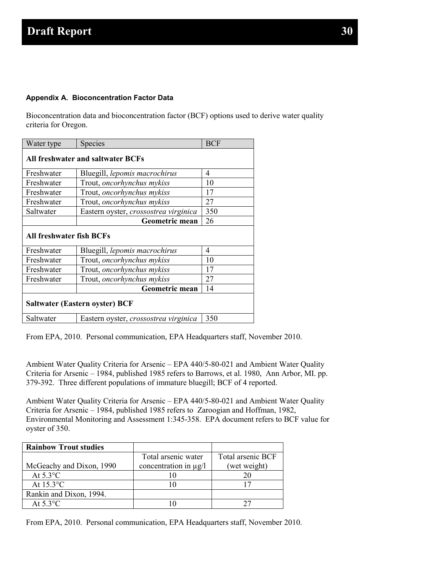#### **Appendix A. Bioconcentration Factor Data**

Bioconcentration data and bioconcentration factor (BCF) options used to derive water quality criteria for Oregon.

| Water type                            | Species                               | <b>BCF</b> |  |  |  |
|---------------------------------------|---------------------------------------|------------|--|--|--|
| All freshwater and saltwater BCFs     |                                       |            |  |  |  |
| Freshwater                            | Bluegill, lepomis macrochirus         | 4          |  |  |  |
| Freshwater                            | Trout, oncorhynchus mykiss            | 10         |  |  |  |
| Freshwater                            | Trout, oncorhynchus mykiss            | 17         |  |  |  |
| Freshwater                            | Trout, oncorhynchus mykiss            | 27         |  |  |  |
| Saltwater                             | Eastern oyster, crossostrea virginica | 350        |  |  |  |
|                                       | Geometric mean                        | 26         |  |  |  |
| <b>All freshwater fish BCFs</b>       |                                       |            |  |  |  |
| Freshwater                            | Bluegill, lepomis macrochirus         | 4          |  |  |  |
| Freshwater                            | Trout, oncorhynchus mykiss            | 10         |  |  |  |
| Freshwater                            | Trout, <i>oncorhynchus mykiss</i>     | 17         |  |  |  |
| Freshwater                            | Trout, <i>oncorhynchus mykiss</i>     | 27         |  |  |  |
|                                       | Geometric mean                        | 14         |  |  |  |
| <b>Saltwater (Eastern oyster) BCF</b> |                                       |            |  |  |  |
| Saltwater                             | Eastern oyster, crossostrea virginica | 350        |  |  |  |

From EPA, 2010. Personal communication, EPA Headquarters staff, November 2010.

Ambient Water Quality Criteria for Arsenic – EPA 440/5-80-021 and Ambient Water Quality Criteria for Arsenic – 1984, published 1985 refers to Barrows, et al. 1980, Ann Arbor, MI. pp. 379-392. Three different populations of immature bluegill; BCF of 4 reported.

Ambient Water Quality Criteria for Arsenic – EPA 440/5-80-021 and Ambient Water Quality Criteria for Arsenic – 1984, published 1985 refers to Zaroogian and Hoffman, 1982, Environmental Monitoring and Assessment 1:345-358. EPA document refers to BCF value for oyster of 350.

| <b>Rainbow Trout studies</b> |                            |                   |
|------------------------------|----------------------------|-------------------|
|                              | Total arsenic water        | Total arsenic BCF |
| McGeachy and Dixon, 1990     | concentration in $\mu$ g/l | (wet weight)      |
| At $5.3^{\circ}$ C           |                            |                   |
| At $15.3$ <sup>o</sup> C     |                            |                   |
| Rankin and Dixon, 1994.      |                            |                   |
| At $5.3^{\circ}$ C           |                            |                   |

From EPA, 2010. Personal communication, EPA Headquarters staff, November 2010.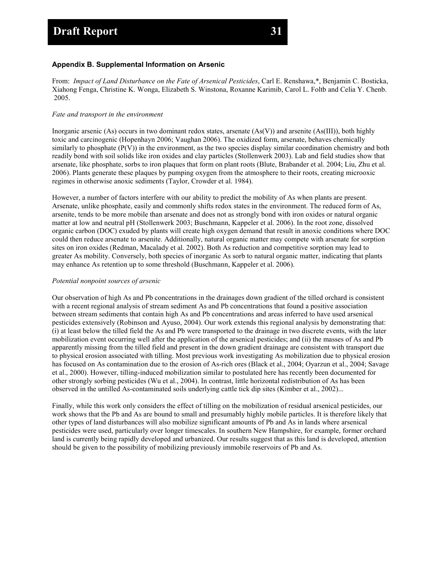#### **Appendix B. Supplemental Information on Arsenic**

From: *Impact of Land Disturbance on the Fate of Arsenical Pesticides*, Carl E. Renshawa,\*, Benjamin C. Bosticka, Xiahong Fenga, Christine K. Wonga, Elizabeth S. Winstona, Roxanne Karimib, Carol L. Foltb and Celia Y. Chenb. 2005.

#### *Fate and transport in the environment*

Inorganic arsenic (As) occurs in two dominant redox states, arsenate (As(V)) and arsenite (As(III)), both highly toxic and carcinogenic (Hopenhayn 2006; Vaughan 2006). The oxidized form, arsenate, behaves chemically similarly to phosphate  $(P(V))$  in the environment, as the two species display similar coordination chemistry and both readily bond with soil solids like iron oxides and clay particles (Stollenwerk 2003). Lab and field studies show that arsenate, like phosphate, sorbs to iron plaques that form on plant roots (Blute, Brabander et al. 2004; Liu, Zhu et al. 2006). Plants generate these plaques by pumping oxygen from the atmosphere to their roots, creating microoxic regimes in otherwise anoxic sediments (Taylor, Crowder et al. 1984).

However, a number of factors interfere with our ability to predict the mobility of As when plants are present. Arsenate, unlike phosphate, easily and commonly shifts redox states in the environment. The reduced form of As, arsenite, tends to be more mobile than arsenate and does not as strongly bond with iron oxides or natural organic matter at low and neutral pH (Stollenwerk 2003; Buschmann, Kappeler et al. 2006). In the root zone, dissolved organic carbon (DOC) exuded by plants will create high oxygen demand that result in anoxic conditions where DOC could then reduce arsenate to arsenite. Additionally, natural organic matter may compete with arsenate for sorption sites on iron oxides (Redman, Macalady et al. 2002). Both As reduction and competitive sorption may lead to greater As mobility. Conversely, both species of inorganic As sorb to natural organic matter, indicating that plants may enhance As retention up to some threshold (Buschmann, Kappeler et al. 2006).

#### *Potential nonpoint sources of arsenic*

Our observation of high As and Pb concentrations in the drainages down gradient of the tilled orchard is consistent with a recent regional analysis of stream sediment As and Pb concentrations that found a positive association between stream sediments that contain high As and Pb concentrations and areas inferred to have used arsenical pesticides extensively (Robinson and Ayuso, 2004). Our work extends this regional analysis by demonstrating that: (i) at least below the tilled field the As and Pb were transported to the drainage in two discrete events, with the later mobilization event occurring well after the application of the arsenical pesticides; and (ii) the masses of As and Pb apparently missing from the tilled field and present in the down gradient drainage are consistent with transport due to physical erosion associated with tilling. Most previous work investigating As mobilization due to physical erosion has focused on As contamination due to the erosion of As-rich ores (Black et al., 2004; Oyarzun et al., 2004; Savage et al., 2000). However, tilling-induced mobilization similar to postulated here has recently been documented for other strongly sorbing pesticides (Wu et al., 2004). In contrast, little horizontal redistribution of As has been observed in the untilled As-contaminated soils underlying cattle tick dip sites (Kimber et al., 2002)...

Finally, while this work only considers the effect of tilling on the mobilization of residual arsenical pesticides, our work shows that the Pb and As are bound to small and presumably highly mobile particles. It is therefore likely that other types of land disturbances will also mobilize significant amounts of Pb and As in lands where arsenical pesticides were used, particularly over longer timescales. In southern New Hampshire, for example, former orchard land is currently being rapidly developed and urbanized. Our results suggest that as this land is developed, attention should be given to the possibility of mobilizing previously immobile reservoirs of Pb and As.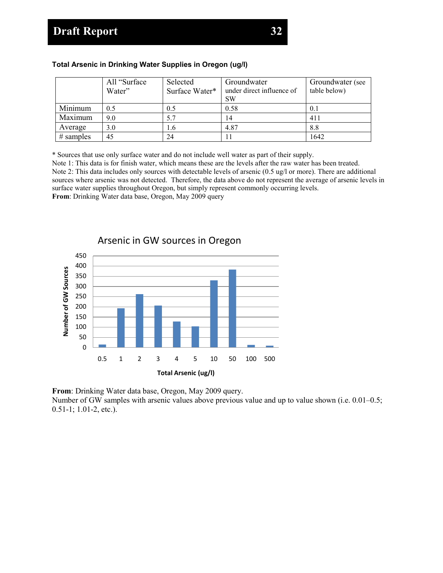#### **Total Arsenic in Drinking Water Supplies in Oregon (ug/l)**

|              | All "Surface<br>Water" | Selected<br>Surface Water* | Groundwater<br>under direct influence of<br><b>SW</b> | Groundwater (see<br>table below) |
|--------------|------------------------|----------------------------|-------------------------------------------------------|----------------------------------|
| Minimum      | 0.5                    | 0.5                        | 0.58                                                  |                                  |
| Maximum      | 9.0                    | 5.7                        | 14                                                    | 411                              |
| Average      | 3.0                    | 1.6                        | 4.87                                                  | 8.8                              |
| $\#$ samples | 45                     | 24                         |                                                       | 1642                             |

\* Sources that use only surface water and do not include well water as part of their supply.

Note 1: This data is for finish water, which means these are the levels after the raw water has been treated. Note 2: This data includes only sources with detectable levels of arsenic (0.5 ug/l or more). There are additional sources where arsenic was not detected. Therefore, the data above do not represent the average of arsenic levels in surface water supplies throughout Oregon, but simply represent commonly occurring levels. **From**: Drinking Water data base, Oregon, May 2009 query



**From**: Drinking Water data base, Oregon, May 2009 query.

Number of GW samples with arsenic values above previous value and up to value shown (i.e. 0.01–0.5; 0.51-1; 1.01-2, etc.).